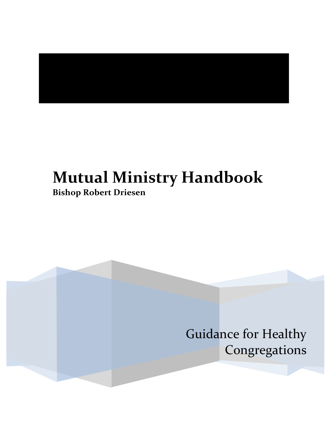# **Mutual Ministry Handbook**

**Bishop Robert Driesen**

Guidance for Healthy Congregations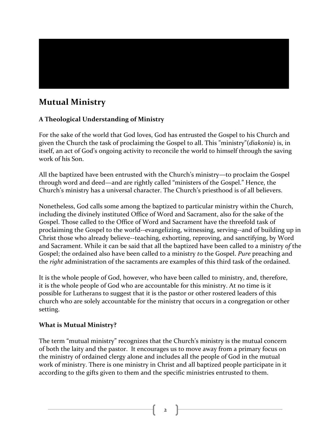

# **Mutual Ministry**

#### **A Theological Understanding of Ministry**

For the sake of the world that God loves, God has entrusted the Gospel to his Church and given the Church the task of proclaiming the Gospel to all. This "ministry"(*diakonia*) is, in itself, an act of God's ongoing activity to reconcile the world to himself through the saving work of his Son.

All the baptized have been entrusted with the Church's ministry—to proclaim the Gospel through word and deed—and are rightly called "ministers of the Gospel." Hence, the Church's ministry has a universal character. The Church's priesthood is of all believers.

Nonetheless, God calls some among the baptized to particular ministry within the Church, including the divinely instituted Office of Word and Sacrament, also for the sake of the Gospel. Those called to the Office of Word and Sacrament have the threefold task of proclaiming the Gospel to the world--evangelizing, witnessing, serving--and of building up in Christ those who already believe--teaching, exhorting, reproving, and sanctifying, by Word and Sacrament. While it can be said that all the baptized have been called to a ministry of the Gospel; the ordained also have been called to a ministry *to* the Gospel. *Pure* preaching and the *right* administration of the sacraments are examples of this third task of the ordained.

It is the whole people of God, however, who have been called to ministry, and, therefore, it is the whole people of God who are accountable for this ministry. At no time is it possible for Lutherans to suggest that it is the pastor or other rostered leaders of this church who are solely accountable for the ministry that occurs in a congregation or other setting. 

#### **What is Mutual Ministry?**

The term "mutual ministry" recognizes that the Church's ministry is the mutual concern of both the laity and the pastor. It encourages us to move away from a primary focus on the ministry of ordained clergy alone and includes all the people of God in the mutual work of ministry. There is one ministry in Christ and all baptized people participate in it according to the gifts given to them and the specific ministries entrusted to them.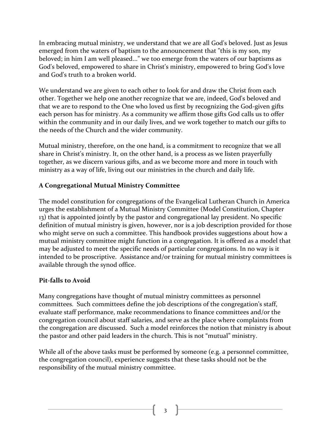In embracing mutual ministry, we understand that we are all God's beloved. Just as Jesus emerged from the waters of baptism to the announcement that "this is my son, my beloved; in him I am well pleased..." we too emerge from the waters of our baptisms as God's beloved, empowered to share in Christ's ministry, empowered to bring God's love and God's truth to a broken world.

We understand we are given to each other to look for and draw the Christ from each other. Together we help one another recognize that we are, indeed, God's beloved and that we are to respond to the One who loved us first by recognizing the God-given gifts each person has for ministry. As a community we affirm those gifts God calls us to offer within the community and in our daily lives, and we work together to match our gifts to the needs of the Church and the wider community.

Mutual ministry, therefore, on the one hand, is a commitment to recognize that we all share in Christ's ministry. It, on the other hand, is a process as we listen prayerfully together, as we discern various gifts, and as we become more and more in touch with ministry as a way of life, living out our ministries in the church and daily life.

### **A Congregational Mutual Ministry Committee**

The model constitution for congregations of the Evangelical Lutheran Church in America urges the establishment of a Mutual Ministry Committee (Model Constitution, Chapter 13) that is appointed jointly by the pastor and congregational lay president. No specific definition of mutual ministry is given, however, nor is a job description provided for those who might serve on such a committee. This handbook provides suggestions about how a mutual ministry committee might function in a congregation. It is offered as a model that may be adjusted to meet the specific needs of particular congregations. In no way is it intended to be proscriptive. Assistance and/or training for mutual ministry committees is available through the synod office.

#### **Pit-falls to Avoid**

Many congregations have thought of mutual ministry committees as personnel committees. Such committees define the job descriptions of the congregation's staff, evaluate staff performance, make recommendations to finance committees and/or the congregation council about staff salaries, and serve as the place where complaints from the congregation are discussed. Such a model reinforces the notion that ministry is about the pastor and other paid leaders in the church. This is not "mutual" ministry.

While all of the above tasks must be performed by someone (e.g. a personnel committee, the congregation council), experience suggests that these tasks should not be the responsibility of the mutual ministry committee.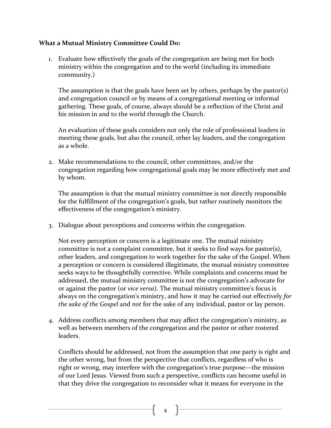#### **What a Mutual Ministry Committee Could Do:**

1. Evaluate how effectively the goals of the congregation are being met for both ministry within the congregation and to the world (including its immediate community.)

The assumption is that the goals have been set by others, perhaps by the pastor(s) and congregation council or by means of a congregational meeting or informal gathering. These goals, of course, always should be a reflection of the Christ and his mission in and to the world through the Church.

An evaluation of these goals considers not only the role of professional leaders in meeting these goals, but also the council, other lay leaders, and the congregation as a whole.

2. Make recommendations to the council, other committees, and/or the congregation regarding how congregational goals may be more effectively met and by whom.

The assumption is that the mutual ministry committee is not directly responsible for the fulfillment of the congregation's goals, but rather routinely monitors the effectiveness of the congregation's ministry.

3. Dialogue about perceptions and concerns within the congregation.

Not every perception or concern is a legitimate one. The mutual ministry committee is not a complaint committee, but it seeks to find ways for pastor(s), other leaders, and congregation to work together for the sake of the Gospel. When a perception or concern is considered illegitimate, the mutual ministry committee seeks ways to be thoughtfully corrective. While complaints and concerns must be addressed, the mutual ministry committee is not the congregation's advocate for or against the pastor (or *vice versa*). The mutual ministry committee's focus is always on the congregation's ministry, and how it may be carried out effectively for *the sake of the Gospel* and *not* for the sake of any individual, pastor or lay person.

4. Address conflicts among members that may affect the congregation's ministry, as well as between members of the congregation and the pastor or other rostered leaders. 

Conflicts should be addressed, not from the assumption that one party is right and the other wrong, but from the perspective that conflicts, regardless of who is right or wrong, may interfere with the congregation's true purpose—the mission of our Lord Jesus. Viewed from such a perspective, conflicts can become useful in that they drive the congregation to reconsider what it means for everyone in the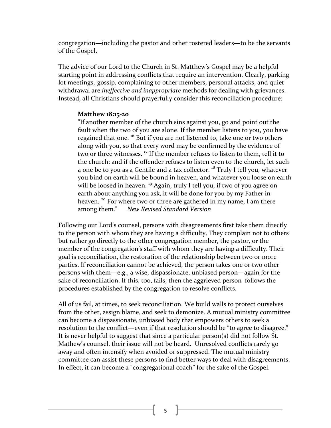congregation—including the pastor and other rostered leaders—to be the servants of the Gospel.

The advice of our Lord to the Church in St. Matthew's Gospel may be a helpful starting point in addressing conflicts that require an intervention. Clearly, parking lot meetings, gossip, complaining to other members, personal attacks, and quiet withdrawal are *ineffective and inappropriate* methods for dealing with grievances. Instead, all Christians should prayerfully consider this reconciliation procedure:

#### **Matthew 18:15-20**

"If another member of the church sins against you, go and point out the fault when the two of you are alone. If the member listens to you, you have regained that one.<sup>16</sup> But if you are not listened to, take one or two others along with you, so that every word may be confirmed by the evidence of two or three witnesses. <sup>17</sup> If the member refuses to listen to them, tell it to the church; and if the offender refuses to listen even to the church, let such a one be to you as a Gentile and a tax collector.  $18$  Truly I tell you, whatever you bind on earth will be bound in heaven, and whatever you loose on earth will be loosed in heaven.<sup>19</sup> Again, truly I tell you, if two of you agree on earth about anything you ask, it will be done for you by my Father in heaven.<sup>20</sup> For where two or three are gathered in my name, I am there among them." New Revised Standard Version

Following our Lord's counsel, persons with disagreements first take them directly to the person with whom they are having a difficulty. They complain not to others but rather go directly to the other congregation member, the pastor, or the member of the congregation's staff with whom they are having a difficulty. Their goal is reconciliation, the restoration of the relationship between two or more parties. If reconciliation cannot be achieved, the person takes one or two other persons with them—e.g., a wise, dispassionate, unbiased person—again for the sake of reconciliation. If this, too, fails, then the aggrieved person follows the procedures established by the congregation to resolve conflicts.

All of us fail, at times, to seek reconciliation. We build walls to protect ourselves from the other, assign blame, and seek to demonize. A mutual ministry committee can become a dispassionate, unbiased body that empowers others to seek a resolution to the conflict—even if that resolution should be "to agree to disagree." It is never helpful to suggest that since a particular  $person(s)$  did not follow St. Mathew's counsel, their issue will not be heard. Unresolved conflicts rarely go away and often intensify when avoided or suppressed. The mutual ministry committee can assist these persons to find better ways to deal with disagreements. In effect, it can become a "congregational coach" for the sake of the Gospel.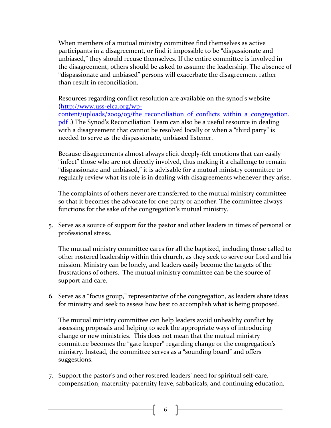When members of a mutual ministry committee find themselves as active participants in a disagreement, or find it impossible to be "dispassionate and unbiased," they should recuse themselves. If the entire committee is involved in the disagreement, others should be asked to assume the leadership. The absence of "dispassionate and unbiased" persons will exacerbate the disagreement rather than result in reconciliation.

Resources regarding conflict resolution are available on the synod's website (http://www.uss-elca.org/wp-

content/uploads/2009/03/the\_reconciliation\_of\_conflicts\_within\_a\_congregation. pdf.) The Synod's Reconciliation Team can also be a useful resource in dealing with a disagreement that cannot be resolved locally or when a "third party" is needed to serve as the dispassionate, unbiased listener.

Because disagreements almost always elicit deeply-felt emotions that can easily "infect" those who are not directly involved, thus making it a challenge to remain "dispassionate and unbiased," it is advisable for a mutual ministry committee to regularly review what its role is in dealing with disagreements whenever they arise.

The complaints of others never are transferred to the mutual ministry committee so that it becomes the advocate for one party or another. The committee always functions for the sake of the congregation's mutual ministry.

5. Serve as a source of support for the pastor and other leaders in times of personal or professional stress.

The mutual ministry committee cares for all the baptized, including those called to other rostered leadership within this church, as they seek to serve our Lord and his mission. Ministry can be lonely, and leaders easily become the targets of the frustrations of others. The mutual ministry committee can be the source of support and care.

6. Serve as a "focus group," representative of the congregation, as leaders share ideas for ministry and seek to assess how best to accomplish what is being proposed.

The mutual ministry committee can help leaders avoid unhealthy conflict by assessing proposals and helping to seek the appropriate ways of introducing change or new ministries. This does not mean that the mutual ministry committee becomes the "gate keeper" regarding change or the congregation's ministry. Instead, the committee serves as a "sounding board" and offers suggestions. 

7. Support the pastor's and other rostered leaders' need for spiritual self-care, compensation, maternity-paternity leave, sabbaticals, and continuing education.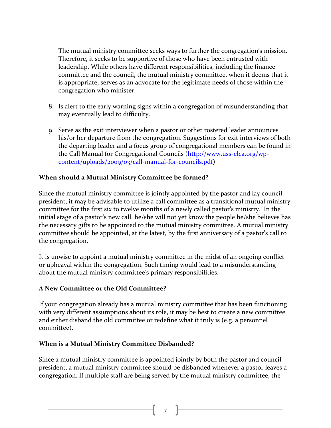The mutual ministry committee seeks ways to further the congregation's mission. Therefore, it seeks to be supportive of those who have been entrusted with leadership. While others have different responsibilities, including the finance committee and the council, the mutual ministry committee, when it deems that it is appropriate, serves as an advocate for the legitimate needs of those within the congregation who minister.

- 8. Is alert to the early warning signs within a congregation of misunderstanding that may eventually lead to difficulty.
- 9. Serve as the exit interviewer when a pastor or other rostered leader announces his/or her departure from the congregation. Suggestions for exit interviews of both the departing leader and a focus group of congregational members can be found in the Call Manual for Congregational Councils (http://www.uss-elca.org/wpcontent/uploads/2009/03/call-manual-for-councils.pdf)

#### **When should a Mutual Ministry Committee be formed?**

Since the mutual ministry committee is jointly appointed by the pastor and lay council president, it may be advisable to utilize a call committee as a transitional mutual ministry committee for the first six to twelve months of a newly called pastor's ministry. In the initial stage of a pastor's new call, he/she will not yet know the people he/she believes has the necessary gifts to be appointed to the mutual ministry committee. A mutual ministry committee should be appointed, at the latest, by the first anniversary of a pastor's call to the congregation.

It is unwise to appoint a mutual ministry committee in the midst of an ongoing conflict or upheaval within the congregation. Such timing would lead to a misunderstanding about the mutual ministry committee's primary responsibilities.

#### **A New Committee or the Old Committee?**

If your congregation already has a mutual ministry committee that has been functioning with very different assumptions about its role, it may be best to create a new committee and either disband the old committee or redefine what it truly is (e.g. a personnel committee). 

#### **When is a Mutual Ministry Committee Disbanded?**

Since a mutual ministry committee is appointed jointly by both the pastor and council president, a mutual ministry committee should be disbanded whenever a pastor leaves a congregation. If multiple staff are being served by the mutual ministry committee, the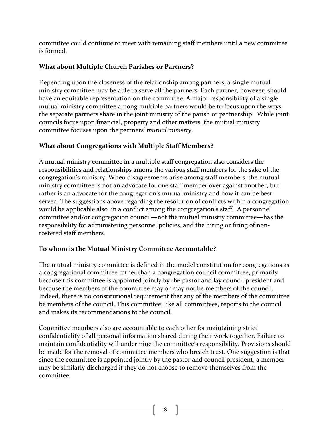committee could continue to meet with remaining staff members until a new committee is formed.

### **What about Multiple Church Parishes or Partners?**

Depending upon the closeness of the relationship among partners, a single mutual ministry committee may be able to serve all the partners. Each partner, however, should have an equitable representation on the committee. A major responsibility of a single mutual ministry committee among multiple partners would be to focus upon the ways the separate partners share in the joint ministry of the parish or partnership. While joint councils focus upon financial, property and other matters, the mutual ministry committee focuses upon the partners' *mutual ministry*.

#### **What about Congregations with Multiple Staff Members?**

A mutual ministry committee in a multiple staff congregation also considers the responsibilities and relationships among the various staff members for the sake of the congregation's ministry. When disagreements arise among staff members, the mutual ministry committee is not an advocate for one staff member over against another, but rather is an advocate for the congregation's mutual ministry and how it can be best served. The suggestions above regarding the resolution of conflicts within a congregation would be applicable also in a conflict among the congregation's staff. A personnel committee and/or congregation council—not the mutual ministry committee—has the responsibility for administering personnel policies, and the hiring or firing of nonrostered staff members.

### To whom is the Mutual Ministry Committee Accountable?

The mutual ministry committee is defined in the model constitution for congregations as a congregational committee rather than a congregation council committee, primarily because this committee is appointed jointly by the pastor and lay council president and because the members of the committee may or may not be members of the council. Indeed, there is no constitutional requirement that any of the members of the committee be members of the council. This committee, like all committees, reports to the council and makes its recommendations to the council.

Committee members also are accountable to each other for maintaining strict confidentiality of all personal information shared during their work together. Failure to maintain confidentiality will undermine the committee's responsibility. Provisions should be made for the removal of committee members who breach trust. One suggestion is that since the committee is appointed jointly by the pastor and council president, a member may be similarly discharged if they do not choose to remove themselves from the committee.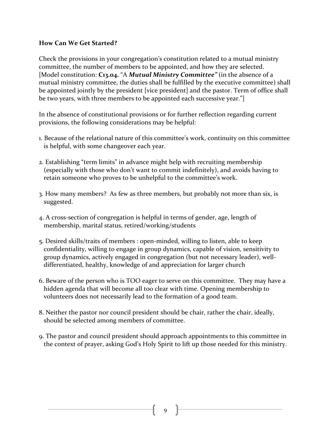#### **How Can We Get Started?**

Check the provisions in your congregation's constitution related to a mutual ministry committee, the number of members to be appointed, and how they are selected. [Model constitution: C13.04. "A *Mutual Ministry Committee"* (in the absence of a mutual ministry committee, the duties shall be fulfilled by the executive committee) shall be appointed jointly by the president [vice president] and the pastor. Term of office shall be two years, with three members to be appointed each successive year."

In the absence of constitutional provisions or for further reflection regarding current provisions, the following considerations may be helpful:

- 1. Because of the relational nature of this committee's work, continuity on this committee is helpful, with some changeover each year.
- 2. Establishing "term limits" in advance might help with recruiting membership (especially with those who don't want to commit indefinitely), and avoids having to retain someone who proves to be unhelpful to the committee's work.
- 3. How many members? As few as three members, but probably not more than six, is suggested.
- 4. A cross-section of congregation is helpful in terms of gender, age, length of membership, marital status, retired/working/students
- 5. Desired skills/traits of members : open-minded, willing to listen, able to keep confidentiality, willing to engage in group dynamics, capable of vision, sensitivity to group dynamics, actively engaged in congregation (but not necessary leader), welldifferentiated, healthy, knowledge of and appreciation for larger church
- 6. Beware of the person who is TOO eager to serve on this committee. They may have a hidden agenda that will become all too clear with time. Opening membership to volunteers does not necessarily lead to the formation of a good team.
- 8. Neither the pastor nor council president should be chair, rather the chair, ideally, should be selected among members of committee.
- 9. The pastor and council president should approach appointments to this committee in the context of prayer, asking God's Holy Spirit to lift up those needed for this ministry.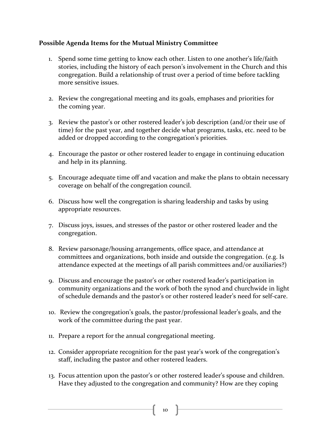#### Possible Agenda Items for the Mutual Ministry Committee

- 1. Spend some time getting to know each other. Listen to one another's life/faith stories, including the history of each person's involvement in the Church and this congregation. Build a relationship of trust over a period of time before tackling more sensitive issues.
- 2. Review the congregational meeting and its goals, emphases and priorities for the coming year.
- 3. Review the pastor's or other rostered leader's job description (and/or their use of time) for the past year, and together decide what programs, tasks, etc. need to be added or dropped according to the congregation's priorities.
- 4. Encourage the pastor or other rostered leader to engage in continuing education and help in its planning.
- 5. Encourage adequate time off and vacation and make the plans to obtain necessary coverage on behalf of the congregation council.
- 6. Discuss how well the congregation is sharing leadership and tasks by using appropriate resources.
- 7. Discuss joys, issues, and stresses of the pastor or other rostered leader and the congregation.
- 8. Review parsonage/housing arrangements, office space, and attendance at committees and organizations, both inside and outside the congregation. (e.g. Is attendance expected at the meetings of all parish committees and/or auxiliaries?)
- 9. Discuss and encourage the pastor's or other rostered leader's participation in community organizations and the work of both the synod and churchwide in light of schedule demands and the pastor's or other rostered leader's need for self-care.
- 10. Review the congregation's goals, the pastor/professional leader's goals, and the work of the committee during the past year.
- 11. Prepare a report for the annual congregational meeting.
- 12. Consider appropriate recognition for the past year's work of the congregation's staff, including the pastor and other rostered leaders.
- 13. Focus attention upon the pastor's or other rostered leader's spouse and children. Have they adjusted to the congregation and community? How are they coping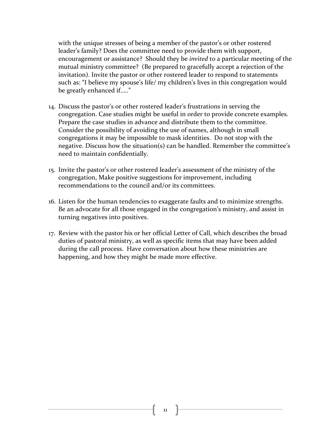with the unique stresses of being a member of the pastor's or other rostered leader's family? Does the committee need to provide them with support, encouragement or assistance? Should they be *invited* to a particular meeting of the mutual ministry committee? (Be prepared to gracefully accept a rejection of the invitation). Invite the pastor or other rostered leader to respond to statements such as: "I believe my spouse's life/ my children's lives in this congregation would be greatly enhanced if....."

- 14. Discuss the pastor's or other rostered leader's frustrations in serving the congregation. Case studies might be useful in order to provide concrete examples. Prepare the case studies in advance and distribute them to the committee. Consider the possibility of avoiding the use of names, although in small congregations it may be impossible to mask identities. Do not stop with the negative. Discuss how the situation(s) can be handled. Remember the committee's need to maintain confidentially.
- 15. Invite the pastor's or other rostered leader's assessment of the ministry of the congregation, Make positive suggestions for improvement, including recommendations to the council and/or its committees.
- 16. Listen for the human tendencies to exaggerate faults and to minimize strengths. Be an advocate for all those engaged in the congregation's ministry, and assist in turning negatives into positives.
- 17. Review with the pastor his or her official Letter of Call, which describes the broad duties of pastoral ministry, as well as specific items that may have been added during the call process. Have conversation about how these ministries are happening, and how they might be made more effective.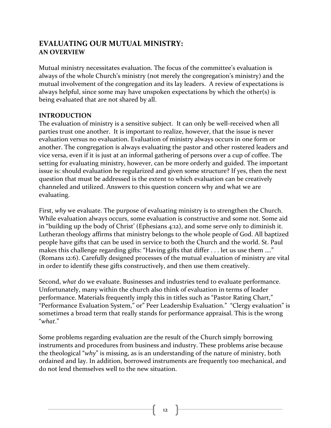# EVALUATING OUR MUTUAL MINISTRY: **AN OVERVIEW**

Mutual ministry necessitates evaluation. The focus of the committee's evaluation is always of the whole Church's ministry (not merely the congregation's ministry) and the mutual involvement of the congregation and its lay leaders. A review of expectations is always helpful, since some may have unspoken expectations by which the other(s) is being evaluated that are not shared by all.

#### **INTRODUCTION**

The evaluation of ministry is a sensitive subject. It can only be well-received when all parties trust one another. It is important to realize, however, that the issue is never evaluation versus no evaluation. Evaluation of ministry always occurs in one form or another. The congregation is always evaluating the pastor and other rostered leaders and vice versa, even if it is just at an informal gathering of persons over a cup of coffee. The setting for evaluating ministry, however, can be more orderly and guided. The important issue is: should evaluation be regularized and given some structure? If yes, then the next question that must be addressed is the extent to which evaluation can be creatively channeled and utilized. Answers to this question concern why and what we are evaluating.

First, why we evaluate. The purpose of evaluating ministry is to strengthen the Church. While evaluation always occurs, some evaluation is constructive and some not. Some aid in "building up the body of Christ' (Ephesians  $4:12$ ), and some serve only to diminish it. Lutheran theology affirms that ministry belongs to the whole people of God. All baptized people have gifts that can be used in service to both the Church and the world. St. Paul makes this challenge regarding gifts: "Having gifts that differ  $\dots$  let us use them  $\dots$ ." (Romans 12:6). Carefully designed processes of the mutual evaluation of ministry are vital in order to identify these gifts constructively, and then use them creatively.

Second, what do we evaluate. Businesses and industries tend to evaluate performance. Unfortunately, many within the church also think of evaluation in terms of leader performance. Materials frequently imply this in titles such as "Pastor Rating Chart," "Performance Evaluation System," or" Peer Leadership Evaluation." "Clergy evaluation" is sometimes a broad term that really stands for performance appraisal. This is the wrong "*what*." 

Some problems regarding evaluation are the result of the Church simply borrowing instruments and procedures from business and industry. These problems arise because the theological "*why*" is missing, as is an understanding of the nature of ministry, both ordained and lay. In addition, borrowed instruments are frequently too mechanical, and do not lend themselves well to the new situation.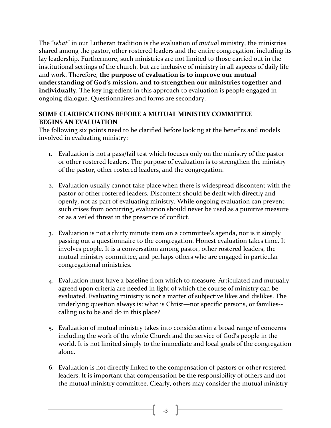The "what" in our Lutheran tradition is the evaluation of *mutual* ministry, the ministries shared among the pastor, other rostered leaders and the entire congregation, including its lay leadership. Furthermore, such ministries are not limited to those carried out in the institutional settings of the church, but are inclusive of ministry in all aspects of daily life and work. Therefore, **the purpose of evaluation is to improve our mutual** understanding of God's mission, and to strengthen our ministries together and **individually**. The key ingredient in this approach to evaluation is people engaged in ongoing dialogue. Questionnaires and forms are secondary.

#### **SOME CLARIFICATIONS BEFORE A MUTUAL MINISTRY COMMITTEE BEGINS AN EVALUATION**

The following six points need to be clarified before looking at the benefits and models involved in evaluating ministry:

- 1. Evaluation is not a pass/fail test which focuses only on the ministry of the pastor or other rostered leaders. The purpose of evaluation is to strengthen the ministry of the pastor, other rostered leaders, and the congregation.
- 2. Evaluation usually cannot take place when there is widespread discontent with the pastor or other rostered leaders. Discontent should be dealt with directly and openly, not as part of evaluating ministry. While ongoing evaluation can prevent such crises from occurring, evaluation should never be used as a punitive measure or as a veiled threat in the presence of conflict.
- 3. Evaluation is not a thirty minute item on a committee's agenda, nor is it simply passing out a questionnaire to the congregation. Honest evaluation takes time. It involves people. It is a conversation among pastor, other rostered leaders, the mutual ministry committee, and perhaps others who are engaged in particular congregational ministries.
- 4. Evaluation must have a baseline from which to measure. Articulated and mutually agreed upon criteria are needed in light of which the course of ministry can be evaluated. Evaluating ministry is not a matter of subjective likes and dislikes. The underlying question always is: what is Christ—not specific persons, or families-calling us to be and do in this place?
- 5. Evaluation of mutual ministry takes into consideration a broad range of concerns including the work of the whole Church and the service of God's people in the world. It is not limited simply to the immediate and local goals of the congregation alone.
- 6. Evaluation is not directly linked to the compensation of pastors or other rostered leaders. It is important that compensation be the responsibility of others and not the mutual ministry committee. Clearly, others may consider the mutual ministry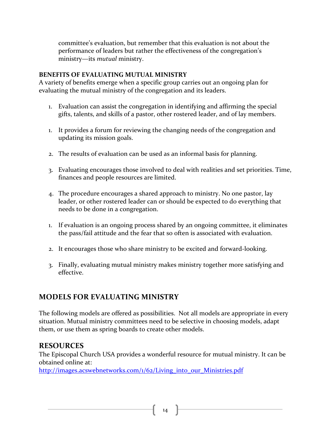committee's evaluation, but remember that this evaluation is not about the performance of leaders but rather the effectiveness of the congregation's ministry—its *mutual* ministry.

#### **BENEFITS OF EVALUATING MUTUAL MINISTRY**

A variety of benefits emerge when a specific group carries out an ongoing plan for evaluating the mutual ministry of the congregation and its leaders.

- 1. Evaluation can assist the congregation in identifying and affirming the special gifts, talents, and skills of a pastor, other rostered leader, and of lay members.
- 1. It provides a forum for reviewing the changing needs of the congregation and updating its mission goals.
- 2. The results of evaluation can be used as an informal basis for planning.
- 3. Evaluating encourages those involved to deal with realities and set priorities. Time, finances and people resources are limited.
- 4. The procedure encourages a shared approach to ministry. No one pastor, lay leader, or other rostered leader can or should be expected to do everything that needs to be done in a congregation.
- 1. If evaluation is an ongoing process shared by an ongoing committee, it eliminates the pass/fail attitude and the fear that so often is associated with evaluation.
- 2. It encourages those who share ministry to be excited and forward-looking.
- 3. Finally, evaluating mutual ministry makes ministry together more satisfying and effective.

# **MODELS FOR EVALUATING MINISTRY**

The following models are offered as possibilities. Not all models are appropriate in every situation. Mutual ministry committees need to be selective in choosing models, adapt them, or use them as spring boards to create other models.

# **RESOURCES**

The Episcopal Church USA provides a wonderful resource for mutual ministry. It can be obtained online at:

http://images.acswebnetworks.com/1/62/Living\_into\_our\_Ministries.pdf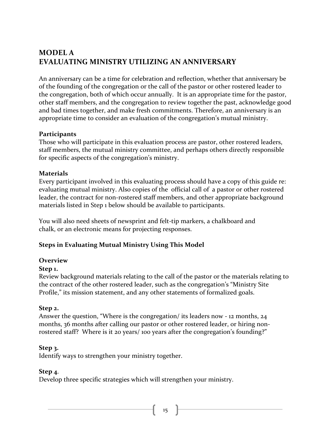# **MODEL A EVALUATING MINISTRY UTILIZING AN ANNIVERSARY**

An anniversary can be a time for celebration and reflection, whether that anniversary be of the founding of the congregation or the call of the pastor or other rostered leader to the congregation, both of which occur annually. It is an appropriate time for the pastor, other staff members, and the congregation to review together the past, acknowledge good and bad times together, and make fresh commitments. Therefore, an anniversary is an appropriate time to consider an evaluation of the congregation's mutual ministry.

#### **Participants**

Those who will participate in this evaluation process are pastor, other rostered leaders, staff members, the mutual ministry committee, and perhaps others directly responsible for specific aspects of the congregation's ministry.

#### **Materials**

Every participant involved in this evaluating process should have a copy of this guide re: evaluating mutual ministry. Also copies of the official call of a pastor or other rostered leader, the contract for non-rostered staff members, and other appropriate background materials listed in Step 1 below should be available to participants.

You will also need sheets of newsprint and felt-tip markers, a chalkboard and chalk, or an electronic means for projecting responses.

#### **Steps in Evaluating Mutual Ministry Using This Model**

#### **Overview**

#### **Step 1.**

Review background materials relating to the call of the pastor or the materials relating to the contract of the other rostered leader, such as the congregation's "Ministry Site Profile," its mission statement, and any other statements of formalized goals.

#### **Step 2.**

Answer the question, "Where is the congregation/ its leaders now - 12 months,  $24$ months, 36 months after calling our pastor or other rostered leader, or hiring nonrostered staff? Where is it 20 years/ 100 years after the congregation's founding?"

#### **Step 3.**

Identify ways to strengthen your ministry together.

#### **Step 4.**

Develop three specific strategies which will strengthen your ministry.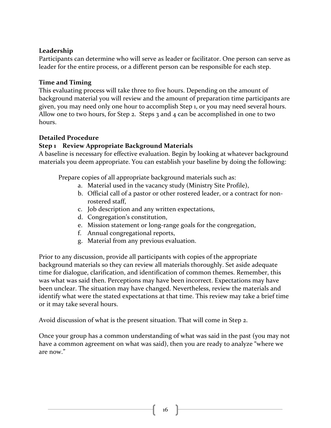#### **Leadership**

Participants can determine who will serve as leader or facilitator. One person can serve as leader for the entire process, or a different person can be responsible for each step.

#### **Time and Timing**

This evaluating process will take three to five hours. Depending on the amount of background material you will review and the amount of preparation time participants are given, you may need only one hour to accomplish Step 1, or you may need several hours. Allow one to two hours, for Step 2. Steps  $\overline{3}$  and  $\overline{4}$  can be accomplished in one to two hours. 

#### **Detailed Procedure**

#### **Step 1** Review Appropriate Background Materials

A baseline is necessary for effective evaluation. Begin by looking at whatever background materials you deem appropriate. You can establish your baseline by doing the following:

Prepare copies of all appropriate background materials such as:

- a. Material used in the vacancy study (Ministry Site Profile),
- b. Official call of a pastor or other rostered leader, or a contract for nonrostered staff,
- c. Job description and any written expectations,
- d. Congregation's constitution,
- e. Mission statement or long-range goals for the congregation,
- f. Annual congregational reports,
- g. Material from any previous evaluation.

Prior to any discussion, provide all participants with copies of the appropriate background materials so they can review all materials thoroughly. Set aside adequate time for dialogue, clarification, and identification of common themes. Remember, this was what was said then. Perceptions may have been incorrect. Expectations may have been unclear. The situation may have changed. Nevertheless, review the materials and identify what were the stated expectations at that time. This review may take a brief time or it may take several hours.

Avoid discussion of what is the present situation. That will come in Step 2.

Once your group has a common understanding of what was said in the past (you may not have a common agreement on what was said), then you are ready to analyze "where we are now."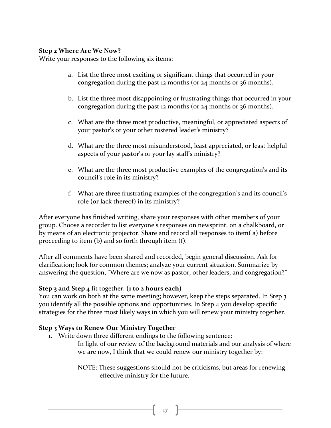#### **Step 2 Where Are We Now?**

Write your responses to the following six items:

- a. List the three most exciting or significant things that occurred in your congregation during the past 12 months (or  $24$  months or  $36$  months).
- b. List the three most disappointing or frustrating things that occurred in your congregation during the past 12 months (or  $24$  months or  $36$  months).
- c. What are the three most productive, meaningful, or appreciated aspects of your pastor's or your other rostered leader's ministry?
- d. What are the three most misunderstood, least appreciated, or least helpful aspects of your pastor's or your lay staff's ministry?
- e. What are the three most productive examples of the congregation's and its council's role in its ministry?
- f. What are three frustrating examples of the congregation's and its council's role (or lack thereof) in its ministry?

After everyone has finished writing, share your responses with other members of your group. Choose a recorder to list everyone's responses on newsprint, on a chalkboard, or by means of an electronic projector. Share and record all responses to item(a) before proceeding to item  $(b)$  and so forth through item  $(f)$ .

After all comments have been shared and recorded, begin general discussion. Ask for clarification; look for common themes; analyze your current situation. Summarize by answering the question, "Where are we now as pastor, other leaders, and congregation?"

#### **Step** 3 and **Step** 4 fit together. (1 to 2 hours each)

You can work on both at the same meeting; however, keep the steps separated. In Step 3 you identify all the possible options and opportunities. In Step 4 you develop specific strategies for the three most likely ways in which you will renew your ministry together.

#### **Step 3 Ways to Renew Our Ministry Together**

1. Write down three different endings to the following sentence:

In light of our review of the background materials and our analysis of where we are now, I think that we could renew our ministry together by:

NOTE: These suggestions should not be criticisms, but areas for renewing effective ministry for the future.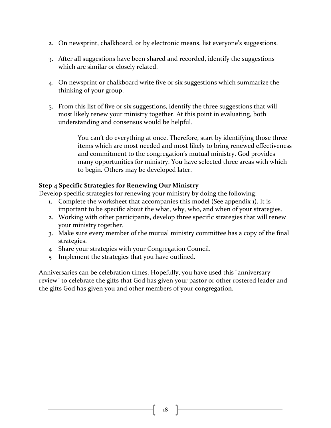- 2. On newsprint, chalkboard, or by electronic means, list everyone's suggestions.
- 3. After all suggestions have been shared and recorded, identify the suggestions which are similar or closely related.
- 4. On newsprint or chalkboard write five or six suggestions which summarize the thinking of your group.
- 5. From this list of five or six suggestions, identify the three suggestions that will most likely renew your ministry together. At this point in evaluating, both understanding and consensus would be helpful.

You can't do everything at once. Therefore, start by identifying those three items which are most needed and most likely to bring renewed effectiveness and commitment to the congregation's mutual ministry. God provides many opportunities for ministry. You have selected three areas with which to begin. Others may be developed later.

#### **Step 4 Specific Strategies for Renewing Our Ministry**

Develop specific strategies for renewing your ministry by doing the following:

- 1. Complete the worksheet that accompanies this model (See appendix 1). It is important to be specific about the what, why, who, and when of your strategies.
- 2. Working with other participants, develop three specific strategies that will renew your ministry together.
- 3. Make sure every member of the mutual ministry committee has a copy of the final strategies.
- 4 Share your strategies with your Congregation Council.
- 5 Implement the strategies that you have outlined.

Anniversaries can be celebration times. Hopefully, you have used this "anniversary review" to celebrate the gifts that God has given your pastor or other rostered leader and the gifts God has given you and other members of your congregation.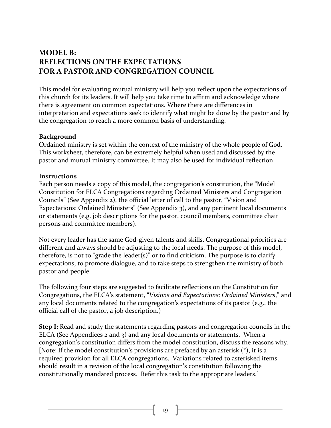# **MODEL B: REFLECTIONS ON THE EXPECTATIONS FOR A PASTOR AND CONGREGATION COUNCIL**

This model for evaluating mutual ministry will help you reflect upon the expectations of this church for its leaders. It will help you take time to affirm and acknowledge where there is agreement on common expectations. Where there are differences in interpretation and expectations seek to identify what might be done by the pastor and by the congregation to reach a more common basis of understanding.

#### **Background**

Ordained ministry is set within the context of the ministry of the whole people of God. This worksheet, therefore, can be extremely helpful when used and discussed by the pastor and mutual ministry committee. It may also be used for individual reflection.

#### **Instructions**

Each person needs a copy of this model, the congregation's constitution, the "Model Constitution for ELCA Congregations regarding Ordained Ministers and Congregation Councils" (See Appendix 2), the official letter of call to the pastor, "Vision and Expectations: Ordained Ministers" (See Appendix 3), and any pertinent local documents or statements (e.g. job descriptions for the pastor, council members, committee chair persons and committee members).

Not every leader has the same God-given talents and skills. Congregational priorities are different and always should be adjusting to the local needs. The purpose of this model, therefore, is not to "grade the leader(s)" or to find criticism. The purpose is to clarify expectations, to promote dialogue, and to take steps to strengthen the ministry of both pastor and people.

The following four steps are suggested to facilitate reflections on the Constitution for Congregations, the ELCA's statement, "Visions and Expectations: Ordained Ministers," and any local documents related to the congregation's expectations of its pastor (e.g., the official call of the pastor, a job description.)

**Step I:** Read and study the statements regarding pastors and congregation councils in the ELCA (See Appendices  $2$  and  $3$ ) and any local documents or statements. When a congregation's constitution differs from the model constitution, discuss the reasons why. [Note: If the model constitution's provisions are prefaced by an asterisk  $(*)$ , it is a required provision for all ELCA congregations. Variations related to asterisked items should result in a revision of the local congregation's constitution following the constitutionally mandated process. Refer this task to the appropriate leaders.]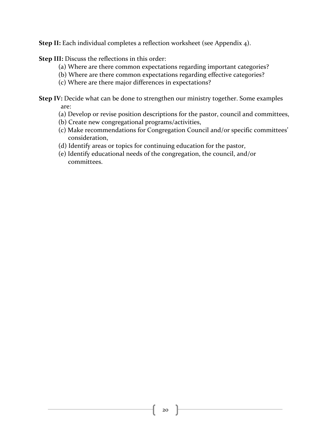**Step II:** Each individual completes a reflection worksheet (see Appendix 4).

**Step III:** Discuss the reflections in this order:

- (a) Where are there common expectations regarding important categories?
- (b) Where are there common expectations regarding effective categories?
- (c) Where are there major differences in expectations?

**Step IV:** Decide what can be done to strengthen our ministry together. Some examples are:

- (a) Develop or revise position descriptions for the pastor, council and committees,
- (b) Create new congregational programs/activities,
- (c) Make recommendations for Congregation Council and/or specific committees' consideration,
- (d) Identify areas or topics for continuing education for the pastor,
- (e) Identify educational needs of the congregation, the council, and/or committees.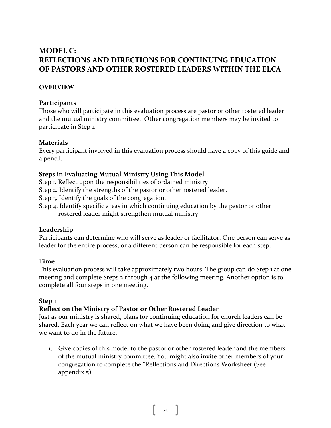# **MODEL C: REFLECTIONS AND DIRECTIONS FOR CONTINUING EDUCATION** OF PASTORS AND OTHER ROSTERED LEADERS WITHIN THE ELCA

#### **OVERVIEW**

#### **Participants**

Those who will participate in this evaluation process are pastor or other rostered leader and the mutual ministry committee. Other congregation members may be invited to participate in Step 1.

#### **Materials**

Every participant involved in this evaluation process should have a copy of this guide and a pencil.

#### **Steps in Evaluating Mutual Ministry Using This Model**

Step 1. Reflect upon the responsibilities of ordained ministry

Step 2. Identify the strengths of the pastor or other rostered leader.

Step 3. Identify the goals of the congregation.

Step 4. Identify specific areas in which continuing education by the pastor or other rostered leader might strengthen mutual ministry.

#### **Leadership**

Participants can determine who will serve as leader or facilitator. One person can serve as leader for the entire process, or a different person can be responsible for each step.

#### **Time**

This evaluation process will take approximately two hours. The group can do Step 1 at one meeting and complete Steps  $2$  through  $4$  at the following meeting. Another option is to complete all four steps in one meeting.

#### Step<sub>1</sub>

#### **Reflect on the Ministry of Pastor or Other Rostered Leader**

Just as our ministry is shared, plans for continuing education for church leaders can be shared. Each year we can reflect on what we have been doing and give direction to what we want to do in the future.

1. Give copies of this model to the pastor or other rostered leader and the members of the mutual ministry committee. You might also invite other members of your congregation to complete the "Reflections and Directions Worksheet (See appendix  $5$ ).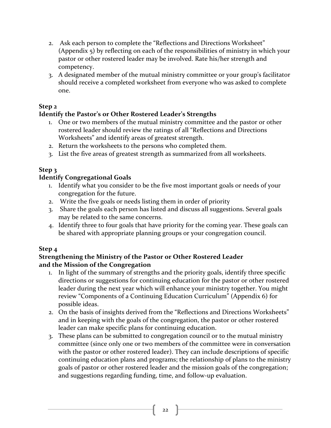- 2. Ask each person to complete the "Reflections and Directions Worksheet" (Appendix  $\overline{5}$ ) by reflecting on each of the responsibilities of ministry in which your pastor or other rostered leader may be involved. Rate his/her strength and competency.
- 3. A designated member of the mutual ministry committee or your group's facilitator should receive a completed worksheet from everyone who was asked to complete one.

### Step<sub>2</sub>

### **Identify the Pastor's or Other Rostered Leader's Strengths**

- 1. One or two members of the mutual ministry committee and the pastor or other rostered leader should review the ratings of all "Reflections and Directions Worksheets" and identify areas of greatest strength.
- 2. Return the worksheets to the persons who completed them.
- 3. List the five areas of greatest strength as summarized from all worksheets.

### **Step 3**

#### **Identify Congregational Goals**

- 1. Identify what you consider to be the five most important goals or needs of your congregation for the future.
- 2. Write the five goals or needs listing them in order of priority
- 3. Share the goals each person has listed and discuss all suggestions. Several goals may be related to the same concerns.
- 4. Identify three to four goals that have priority for the coming year. These goals can be shared with appropriate planning groups or your congregation council.

### Step<sub>4</sub>

#### **Strengthening the Ministry of the Pastor or Other Rostered Leader and the Mission of the Congregation**

- 1. In light of the summary of strengths and the priority goals, identify three specific directions or suggestions for continuing education for the pastor or other rostered leader during the next year which will enhance your ministry together. You might review "Components of a Continuing Education Curriculum" (Appendix 6) for possible ideas.
- 2. On the basis of insights derived from the "Reflections and Directions Worksheets" and in keeping with the goals of the congregation, the pastor or other rostered leader can make specific plans for continuing education.
- 3. These plans can be submitted to congregation council or to the mutual ministry committee (since only one or two members of the committee were in conversation with the pastor or other rostered leader). They can include descriptions of specific continuing education plans and programs; the relationship of plans to the ministry goals of pastor or other rostered leader and the mission goals of the congregation; and suggestions regarding funding, time, and follow-up evaluation.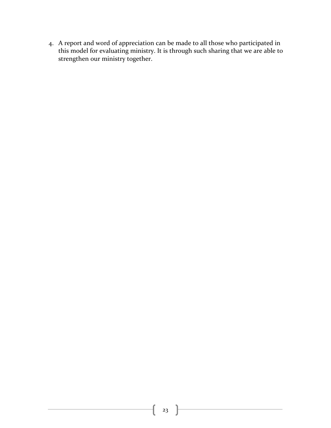4. A report and word of appreciation can be made to all those who participated in this model for evaluating ministry. It is through such sharing that we are able to strengthen our ministry together.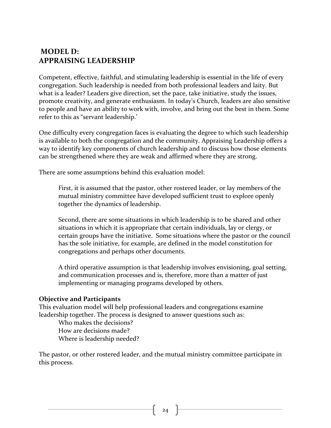# **MODEL D: APPRAISING LEADERSHIP**

Competent, effective, faithful, and stimulating leadership is essential in the life of every congregation. Such leadership is needed from both professional leaders and laity. But what is a leader? Leaders give direction, set the pace, take initiative, study the issues, promote creativity, and generate enthusiasm. In today's Church, leaders are also sensitive to people and have an ability to work with, involve, and bring out the best in them. Some refer to this as "servant leadership.'

One difficulty every congregation faces is evaluating the degree to which such leadership is available to both the congregation and the community. Appraising Leadership offers a way to identify key components of church leadership and to discuss how those elements can be strengthened where they are weak and affirmed where they are strong.

There are some assumptions behind this evaluation model:

First, it is assumed that the pastor, other rostered leader, or lay members of the mutual ministry committee have developed sufficient trust to explore openly together the dynamics of leadership.

Second, there are some situations in which leadership is to be shared and other situations in which it is appropriate that certain individuals, lay or clergy, or certain groups have the initiative. Some situations where the pastor or the council has the sole initiative, for example, are defined in the model constitution for congregations and perhaps other documents.

A third operative assumption is that leadership involves envisioning, goal setting, and communication processes and is, therefore, more than a matter of just implementing or managing programs developed by others.

#### **Objective and Participants**

This evaluation model will help professional leaders and congregations examine leadership together. The process is designed to answer questions such as:

Who makes the decisions? How are decisions made? Where is leadership needed?

The pastor, or other rostered leader, and the mutual ministry committee participate in this process.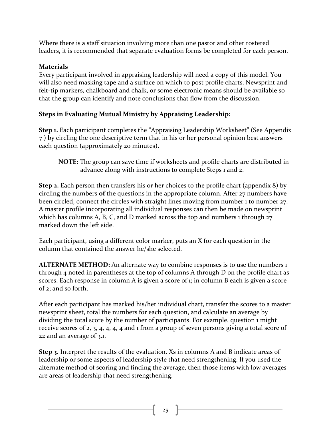Where there is a staff situation involving more than one pastor and other rostered leaders, it is recommended that separate evaluation forms be completed for each person.

# **Materials**

Every participant involved in appraising leadership will need a copy of this model. You will also need masking tape and a surface on which to post profile charts. Newsprint and felt-tip markers, chalkboard and chalk, or some electronic means should be available so that the group can identify and note conclusions that flow from the discussion.

# **Steps in Evaluating Mutual Ministry by Appraising Leadership:**

**Step 1.** Each participant completes the "Appraising Leadership Worksheet" (See Appendix 7) by circling the one descriptive term that in his or her personal opinion best answers each question (approximately 20 minutes).

**Step 2.** Each person then transfers his or her choices to the profile chart (appendix 8) by circling the numbers of the questions in the appropriate column. After 27 numbers have been circled, connect the circles with straight lines moving from number 1 to number 27. A master profile incorporating all individual responses can then be made on newsprint which has columns A, B, C, and D marked across the top and numbers  $\frac{1}{27}$ marked down the left side.

Each participant, using a different color marker, puts an X for each question in the column that contained the answer he/she selected.

**ALTERNATE METHOD:** An alternate way to combine responses is to use the numbers 1 through  $4$  noted in parentheses at the top of columns A through D on the profile chart as scores. Each response in column A is given a score of  $\iota$ ; in column B each is given a score of 2; and so forth.

After each participant has marked his/her individual chart, transfer the scores to a master newsprint sheet, total the numbers for each question, and calculate an average by dividing the total score by the number of participants. For example, question 1 might receive scores of  $2, 3, 4, 4, 4, 4$  and 1 from a group of seven persons giving a total score of 22 and an average of 3.1.

**Step 3.** Interpret the results of the evaluation. Xs in columns A and B indicate areas of leadership or some aspects of leadership style that need strengthening. If you used the alternate method of scoring and finding the average, then those items with low averages are areas of leadership that need strengthening.

**NOTE:** The group can save time if worksheets and profile charts are distributed in advance along with instructions to complete Steps 1 and 2.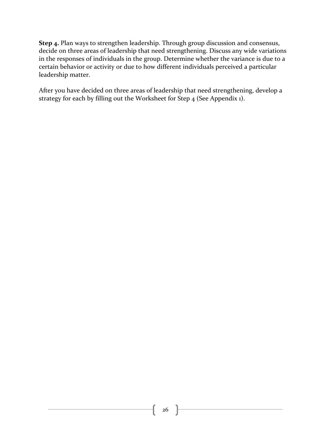**Step 4.** Plan ways to strengthen leadership. Through group discussion and consensus, decide on three areas of leadership that need strengthening. Discuss any wide variations in the responses of individuals in the group. Determine whether the variance is due to a certain behavior or activity or due to how different individuals perceived a particular leadership matter.

After you have decided on three areas of leadership that need strengthening, develop a strategy for each by filling out the Worksheet for Step  $4$  (See Appendix 1).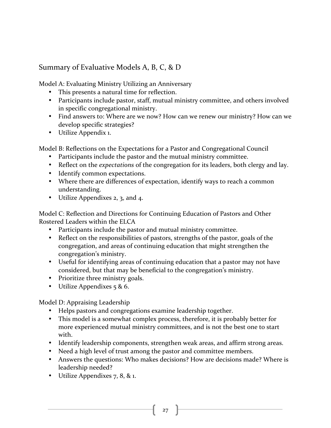# Summary of Evaluative Models A, B, C, & D

Model A: Evaluating Ministry Utilizing an Anniversary

- This presents a natural time for reflection.
- Participants include pastor, staff, mutual ministry committee, and others involved in specific congregational ministry.
- Find answers to: Where are we now? How can we renew our ministry? How can we develop specific strategies?
- Utilize Appendix 1.

Model B: Reflections on the Expectations for a Pastor and Congregational Council

- Participants include the pastor and the mutual ministry committee.
- Reflect on the *expectations* of the congregation for its leaders, both clergy and lay.
- Identify common expectations.
- Where there are differences of expectation, identify ways to reach a common understanding.
- Utilize Appendixes 2, 3, and 4.

Model C: Reflection and Directions for Continuing Education of Pastors and Other Rostered Leaders within the ELCA

- Participants include the pastor and mutual ministry committee.
- Reflect on the responsibilities of pastors, strengths of the pastor, goals of the congregation, and areas of continuing education that might strengthen the congregation's ministry.
- Useful for identifying areas of continuing education that a pastor may not have considered, but that may be beneficial to the congregation's ministry.
- Prioritize three ministry goals.
- Utilize Appendixes  $5 & 6$ .

Model D: Appraising Leadership

- Helps pastors and congregations examine leadership together.
- This model is a somewhat complex process, therefore, it is probably better for more experienced mutual ministry committees, and is not the best one to start with.
- Identify leadership components, strengthen weak areas, and affirm strong areas.
- Need a high level of trust among the pastor and committee members.
- Answers the questions: Who makes decisions? How are decisions made? Where is leadership needed?
- Utilize Appendixes  $7, 8, 8, 1$ .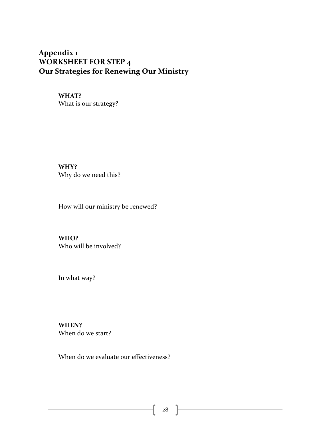# Appendix 1 **WORKSHEET FOR STEP 4 Our Strategies for Renewing Our Ministry**

# **WHAT?**

What is our strategy?

**WHY?** Why do we need this?

How will our ministry be renewed?

**WHO?** Who will be involved?

In what way?

**WHEN?** When do we start?

When do we evaluate our effectiveness?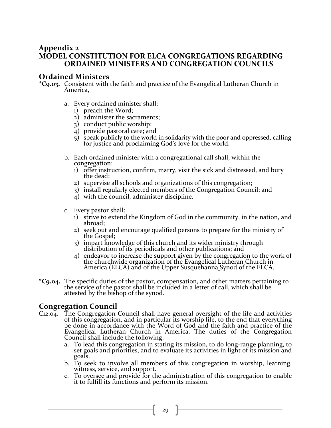#### **Appendix 2 MODEL CONSTITUTION FOR ELCA CONGREGATIONS REGARDING ORDAINED MINISTERS AND CONGREGATION COUNCILS**

#### **Ordained Ministers**

- \*C9.03. Consistent with the faith and practice of the Evangelical Lutheran Church in America,
	- a. Every ordained minister shall:
		- 1) preach the Word;
		- 2) administer the sacraments;
		- 3) conduct public worship;
		- 4) provide pastoral care; and
		- $5$ ) speak publicly to the world in solidarity with the poor and oppressed, calling for justice and proclaiming God's love for the world.
	- b. Each ordained minister with a congregational call shall, within the congregation:
		- 1) offer instruction, confirm, marry, visit the sick and distressed, and bury the dead;
		- 2) supervise all schools and organizations of this congregation;
		- 3) install regularly elected members of the Congregation Council; and
		- $\overline{4}$ ) with the council, administer discipline.
	- c. Every pastor shall:
		- 1) strive to extend the Kingdom of God in the community, in the nation, and abroad;
		- 2) seek out and encourage qualified persons to prepare for the ministry of the Gospel;
		- 3) impart knowledge of this church and its wider ministry through distribution of its periodicals and other publications; and
		- 4) endeavor to increase the support given by the congregation to the work of the churchwide organization of the Evangelical Lutheran Church in America (ELCA) and of the Upper Susquehanna Synod of the ELCA.
- \*C9.04. The specific duties of the pastor, compensation, and other matters pertaining to the service of the pastor shall be included in a letter of call, which shall be attested by the bishop of the synod.

#### **Congregation Council**

- C12.04. The Congregation Council shall have general oversight of the life and activities of this congregation, and in particular its worship life, to the end that everything be done in accordance with the Word of God and the faith and practice of the Evangelical Lutheran Church in America. The duties of the Congregation Council shall include the following:
	- a. To lead this congregation in stating its mission, to do long-range planning, to set goals and priorities, and to evaluate its activities in light of its mission and goals.
	- b. To seek to involve all members of this congregation in worship, learning, witness, service, and support.
	- c. To oversee and provide for the administration of this congregation to enable it to fulfill its functions and perform its mission.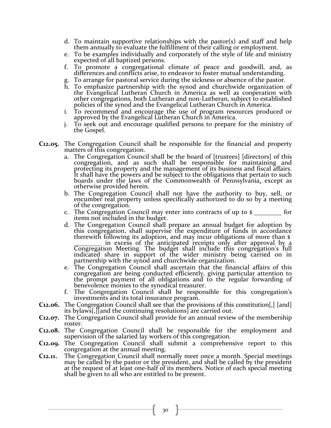- d. To maintain supportive relationships with the pastor(s) and staff and help them annually to evaluate the fulfillment of their calling or employment.
- e. To be examples individually and corporately of the style of life and ministry expected of all baptized persons.
- f. To promote a congregational climate of peace and goodwill, and, as differences and conflicts arise, to endeavor to foster mutual understanding.
- To arrange for pastoral service during the sickness or absence of the pastor.
- h. To emphasize partnership with the synod and churchwide organization of the Evangelical Lutheran Church in America as well as cooperation with other congregations, both Lutheran and non-Lutheran, subject to established policies of the synod and the Evangelical Lutheran Church in America.
- i. To recommend and encourage the use of program resources produced or approved by the Evangelical Lutheran Church in America.
- j. To seek out and encourage qualified persons to prepare for the ministry of the Gospel.
- **C12.05.** The Congregation Council shall be responsible for the financial and property matters of this congregation.
	- a. The Congregation Council shall be the board of [trustees] [directors] of this congregation, and as such shall be responsible for maintaining and protecting its property and the management of its business and fiscal affairs.<br>It shall have the powers and be subject to the obligations that pertain to such boards under the laws of the Commonwealth of Pennsylvania, except as otherwise provided herein.
	- b. The Congregation Council shall not have the authority to buy, sell, or encumber real property unless specifically authorized to do so by a meeting of the congregation.
	- c. The Congregation Council may enter into contracts of up to  $\boldsymbol{s}$  for items not included in the budget.
	- d. The Congregation Council shall prepare an annual budget for adoption by this congregation, shall supervise the expenditure of funds in accordance therewith following its adoption, and may incur obligations of more than \$ in excess of the anticipated receipts only after approval by a<br>Congregation Meeting. The budget shall include this congregation's full indicated share in support of the wider ministry being carried on in partnership with the synod and churchwide organization.
	- e. The Congregation Council shall ascertain that the financial affairs of this congregation are being conducted efficiently, giving particular attention to the prompt payment of all obligations and to the regular forwarding of benevolence monies to the synodical treasurer.
	- f. The Congregation Council shall be responsible for this congregation's investments and its total insurance program.
- **C12.06.** The Congregation Council shall see that the provisions of this constitution[,] [and] its bylaws[,][and the continuing resolutions] are carried out.
- **C12.07.** The Congregation Council shall provide for an annual review of the membership roster.
- **C12.08.** The Congregation Council shall be responsible for the employment and supervision of the salaried lay workers of this congregation.
- **C12.09.** The Congregation Council shall submit a comprehensive report to this congregation at the annual meeting.
- **C12.11.** The Congregation Council shall normally meet once a month. Special meetings may be called by the pastor or the president, and shall be called by the president<br>at the request of at least one-half of its members. Notice of each special meeting<br>shall be given to all who are entitled to be present.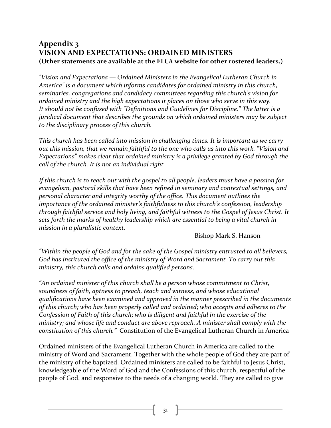# **Appendix 3 VISION AND EXPECTATIONS: ORDAINED MINISTERS (Other statements are available at the ELCA website for other rostered leaders.)**

*"Vision and Expectations* — *Ordained Ministers in the Evangelical Lutheran Church in* America" is a document which informs candidates for ordained ministry in this church, seminaries, congregations and candidacy committees regarding this church's vision for *ordained ministry and the high expectations it places on those who serve in this way.* It should not be confused with "Definitions and Guidelines for Discipline." The latter is a *juridical document that describes the grounds on which ordained ministers may be subject* to the disciplinary process of this church.

*This church has been called into mission in challenging times. It is important as we carry* out this mission, that we remain faithful to the one who calls us into this work. "Vision and *Expectations"* makes clear that ordained ministry is a privilege granted by God through the call of the church. It is not an individual right.

*If* this church is to reach out with the gospel to all people, leaders must have a passion for evangelism, pastoral skills that have been refined in seminary and contextual settings, and *personal character and integrity worthy of the office. This document outlines the importance of the ordained minister's faithfulness to this church's confession, leadership through faithful service and holy living, and faithful witness to the Gospel of Jesus Christ. It* sets forth the marks of healthy leadership which are essential to being a vital church in *mission in a pluralistic context.* 

#### Bishop Mark S. Hanson

"Within the people of God and for the sake of the Gospel ministry entrusted to all believers, God has instituted the office of the ministry of Word and Sacrament. To carry out this ministry, this church calls and ordains qualified persons.

"An ordained minister of this church shall be a person whose commitment to Christ, soundness of faith, aptness to preach, teach and witness, and whose educational qualifications have been examined and approved in the manner prescribed in the documents of this church; who has been properly called and ordained; who accepts and adheres to the *Confession of Faith of this church; who is diligent and faithful in the exercise of the ministry;* and whose life and conduct are above reproach. A minister shall comply with the *constitution of this church."* Constitution of the Evangelical Lutheran Church in America

Ordained ministers of the Evangelical Lutheran Church in America are called to the ministry of Word and Sacrament. Together with the whole people of God they are part of the ministry of the baptized. Ordained ministers are called to be faithful to Jesus Christ, knowledgeable of the Word of God and the Confessions of this church, respectful of the people of God, and responsive to the needs of a changing world. They are called to give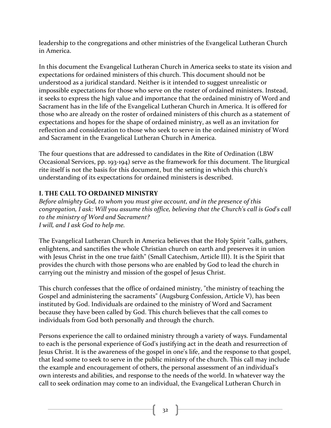leadership to the congregations and other ministries of the Evangelical Lutheran Church in America.

In this document the Evangelical Lutheran Church in America seeks to state its vision and expectations for ordained ministers of this church. This document should not be understood as a juridical standard. Neither is it intended to suggest unrealistic or impossible expectations for those who serve on the roster of ordained ministers. Instead, it seeks to express the high value and importance that the ordained ministry of Word and Sacrament has in the life of the Evangelical Lutheran Church in America. It is offered for those who are already on the roster of ordained ministers of this church as a statement of expectations and hopes for the shape of ordained ministry, as well as an invitation for reflection and consideration to those who seek to serve in the ordained ministry of Word and Sacrament in the Evangelical Lutheran Church in America.

The four questions that are addressed to candidates in the Rite of Ordination (LBW Occasional Services, pp. 193-194) serve as the framework for this document. The liturgical rite itself is not the basis for this document, but the setting in which this church's understanding of its expectations for ordained ministers is described.

# **I. THE CALL TO ORDAINED MINISTRY**

*Before almighty God, to whom you must give account, and in the presence of this congregation, I ask: Will you assume this office, believing that the Church's call is God's call* to the ministry of Word and Sacrament? *I* will, and *I* ask God to help me.

The Evangelical Lutheran Church in America believes that the Holy Spirit "calls, gathers, enlightens, and sanctifies the whole Christian church on earth and preserves it in union with Jesus Christ in the one true faith" (Small Catechism, Article III). It is the Spirit that provides the church with those persons who are enabled by God to lead the church in carrying out the ministry and mission of the gospel of Jesus Christ.

This church confesses that the office of ordained ministry, "the ministry of teaching the Gospel and administering the sacraments" (Augsburg Confession, Article V), has been instituted by God. Individuals are ordained to the ministry of Word and Sacrament because they have been called by God. This church believes that the call comes to individuals from God both personally and through the church.

Persons experience the call to ordained ministry through a variety of ways. Fundamental to each is the personal experience of God's justifying act in the death and resurrection of Jesus Christ. It is the awareness of the gospel in one's life, and the response to that gospel, that lead some to seek to serve in the public ministry of the church. This call may include the example and encouragement of others, the personal assessment of an individual's own interests and abilities, and response to the needs of the world. In whatever way the call to seek ordination may come to an individual, the Evangelical Lutheran Church in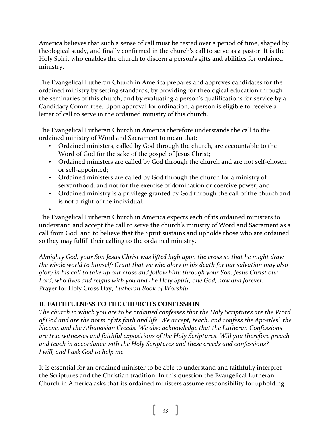America believes that such a sense of call must be tested over a period of time, shaped by theological study, and finally confirmed in the church's call to serve as a pastor. It is the Holy Spirit who enables the church to discern a person's gifts and abilities for ordained ministry.

The Evangelical Lutheran Church in America prepares and approves candidates for the ordained ministry by setting standards, by providing for theological education through the seminaries of this church, and by evaluating a person's qualifications for service by a Candidacy Committee. Upon approval for ordination, a person is eligible to receive a letter of call to serve in the ordained ministry of this church.

The Evangelical Lutheran Church in America therefore understands the call to the ordained ministry of Word and Sacrament to mean that:

- Ordained ministers, called by God through the church, are accountable to the Word of God for the sake of the gospel of Jesus Christ;
- Ordained ministers are called by God through the church and are not self-chosen or self-appointed;
- Ordained ministers are called by God through the church for a ministry of servanthood, and not for the exercise of domination or coercive power; and
- Ordained ministry is a privilege granted by God through the call of the church and is not a right of the individual.

•

The Evangelical Lutheran Church in America expects each of its ordained ministers to understand and accept the call to serve the church's ministry of Word and Sacrament as a call from God, and to believe that the Spirit sustains and upholds those who are ordained so they may fulfill their calling to the ordained ministry.

Almighty God, your Son Jesus Christ was lifted high upon the cross so that he might draw *the* whole world to himself: Grant that we who glory in his death for our salvation may also *glory* in his call to take up our cross and follow him; through your Son, Jesus Christ our Lord, who lives and reigns with you and the Holy Spirit, one God, now and forever. Prayer for Holy Cross Day, *Lutheran Book of Worship* 

# **II. FAITHFULNESS TO THE CHURCH'S CONFESSION**

The church in which you are to be ordained confesses that the Holy Scriptures are the Word of God and are the norm of its faith and life. We accept, teach, and confess the Apostles', the *Nicene, and the Athanasian Creeds. We also acknowledge that the Lutheran Confessions* are true witnesses and faithful expositions of the Holy Scriptures. Will you therefore preach and teach in accordance with the Holy Scriptures and these creeds and confessions? *I* will, and *I* ask God to help me.

It is essential for an ordained minister to be able to understand and faithfully interpret the Scriptures and the Christian tradition. In this question the Evangelical Lutheran Church in America asks that its ordained ministers assume responsibility for upholding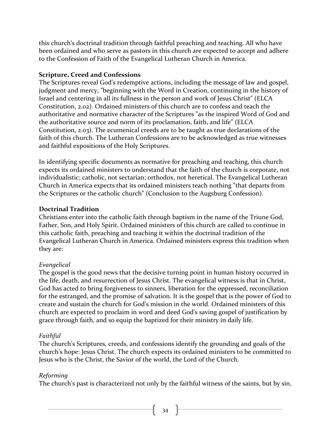this church's doctrinal tradition through faithful preaching and teaching. All who have been ordained and who serve as pastors in this church are expected to accept and adhere to the Confession of Faith of the Evangelical Lutheran Church in America.

#### **Scripture, Creed and Confessions**

The Scriptures reveal God's redemptive actions, including the message of law and gospel, judgment and mercy, "beginning with the Word in Creation, continuing in the history of Israel and centering in all its fullness in the person and work of Jesus Christ" (ELCA Constitution, 2.02). Ordained ministers of this church are to confess and teach the authoritative and normative character of the Scriptures "as the inspired Word of God and the authoritative source and norm of its proclamation, faith, and life" (ELCA Constitution, 2.03). The ecumenical creeds are to be taught as true declarations of the faith of this church. The Lutheran Confessions are to be acknowledged as true witnesses and faithful expositions of the Holy Scriptures.

In identifying specific documents as normative for preaching and teaching, this church expects its ordained ministers to understand that the faith of the church is corporate, not individualistic; catholic, not sectarian; orthodox, not heretical. The Evangelical Lutheran Church in America expects that its ordained ministers teach nothing "that departs from the Scriptures or the catholic church" (Conclusion to the Augsburg Confession).

#### **Doctrinal Tradition**

Christians enter into the catholic faith through baptism in the name of the Triune God, Father, Son, and Holy Spirit. Ordained ministers of this church are called to continue in this catholic faith, preaching and teaching it within the doctrinal tradition of the Evangelical Lutheran Church in America. Ordained ministers express this tradition when they are:

### *Evangelical*

The gospel is the good news that the decisive turning point in human history occurred in the life, death, and resurrection of Jesus Christ. The evangelical witness is that in Christ, God has acted to bring forgiveness to sinners, liberation for the oppressed, reconciliation for the estranged, and the promise of salvation. It is the gospel that is the power of God to create and sustain the church for God's mission in the world. Ordained ministers of this church are expected to proclaim in word and deed God's saving gospel of justification by grace through faith, and so equip the baptized for their ministry in daily life.

#### *Faithful*

The church's Scriptures, creeds, and confessions identify the grounding and goals of the church's hope: Jesus Christ. The church expects its ordained ministers to be committed to Jesus who is the Christ, the Savior of the world, the Lord of the Church.

### *Reforming*

The church's past is characterized not only by the faithful witness of the saints, but by sin,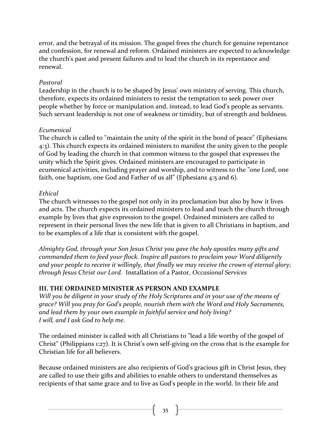error, and the betrayal of its mission. The gospel frees the church for genuine repentance and confession, for renewal and reform. Ordained ministers are expected to acknowledge the church's past and present failures and to lead the church in its repentance and renewal.

#### *Pastoral*

Leadership in the church is to be shaped by Jesus' own ministry of serving. This church, therefore, expects its ordained ministers to resist the temptation to seek power over people whether by force or manipulation and, instead, to lead God's people as servants. Such servant leadership is not one of weakness or timidity, but of strength and boldness.

#### *Ecumenical*

The church is called to "maintain the unity of the spirit in the bond of peace" (Ephesians 4:3). This church expects its ordained ministers to manifest the unity given to the people of God by leading the church in that common witness to the gospel that expresses the unity which the Spirit gives. Ordained ministers are encouraged to participate in ecumenical activities, including prayer and worship, and to witness to the "one Lord, one faith, one baptism, one God and Father of us all" (Ephesians  $4:5$  and 6).

#### *Ethical*

The church witnesses to the gospel not only in its proclamation but also by how it lives and acts. The church expects its ordained ministers to lead and teach the church through example by lives that give expression to the gospel. Ordained ministers are called to represent in their personal lives the new life that is given to all Christians in baptism, and to be examples of a life that is consistent with the gospel.

Almighty God, through your Son Jesus Christ you gave the holy apostles many gifts and *commanded them to feed your flock. Inspire all pastors to proclaim your Word diligently* and your people to receive it willingly, that finally we may receive the crown of eternal glory; *through Jesus Christ our Lord.* Installation of a Pastor, *Occasional Services*

#### **III. THE ORDAINED MINISTER AS PERSON AND EXAMPLE**

*Will* you be diligent in your study of the Holy Scriptures and in your use of the means of *grace?* Will you pray for God's people, nourish them with the Word and Holy Sacraments, and lead them by your own example in faithful service and holy living? *I* will, and *I* ask God to help me.

The ordained minister is called with all Christians to "lead a life worthy of the gospel of Christ" (Philippians  $1:27$ ). It is Christ's own self-giving on the cross that is the example for Christian life for all believers.

Because ordained ministers are also recipients of God's gracious gift in Christ Jesus, they are called to use their gifts and abilities to enable others to understand themselves as recipients of that same grace and to live as God's people in the world. In their life and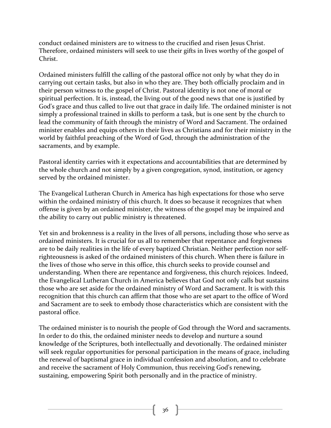conduct ordained ministers are to witness to the crucified and risen Jesus Christ. Therefore, ordained ministers will seek to use their gifts in lives worthy of the gospel of Christ.

Ordained ministers fulfill the calling of the pastoral office not only by what they do in carrying out certain tasks, but also in who they are. They both officially proclaim and in their person witness to the gospel of Christ. Pastoral identity is not one of moral or spiritual perfection. It is, instead, the living out of the good news that one is justified by God's grace and thus called to live out that grace in daily life. The ordained minister is not simply a professional trained in skills to perform a task, but is one sent by the church to lead the community of faith through the ministry of Word and Sacrament. The ordained minister enables and equips others in their lives as Christians and for their ministry in the world by faithful preaching of the Word of God, through the administration of the sacraments, and by example.

Pastoral identity carries with it expectations and accountabilities that are determined by the whole church and not simply by a given congregation, synod, institution, or agency served by the ordained minister.

The Evangelical Lutheran Church in America has high expectations for those who serve within the ordained ministry of this church. It does so because it recognizes that when offense is given by an ordained minister, the witness of the gospel may be impaired and the ability to carry out public ministry is threatened.

Yet sin and brokenness is a reality in the lives of all persons, including those who serve as ordained ministers. It is crucial for us all to remember that repentance and forgiveness are to be daily realities in the life of every baptized Christian. Neither perfection nor selfrighteousness is asked of the ordained ministers of this church. When there is failure in the lives of those who serve in this office, this church seeks to provide counsel and understanding. When there are repentance and forgiveness, this church rejoices. Indeed, the Evangelical Lutheran Church in America believes that God not only calls but sustains those who are set aside for the ordained ministry of Word and Sacrament. It is with this recognition that this church can affirm that those who are set apart to the office of Word and Sacrament are to seek to embody those characteristics which are consistent with the pastoral office.

The ordained minister is to nourish the people of God through the Word and sacraments. In order to do this, the ordained minister needs to develop and nurture a sound knowledge of the Scriptures, both intellectually and devotionally. The ordained minister will seek regular opportunities for personal participation in the means of grace, including the renewal of baptismal grace in individual confession and absolution, and to celebrate and receive the sacrament of Holy Communion, thus receiving God's renewing, sustaining, empowering Spirit both personally and in the practice of ministry.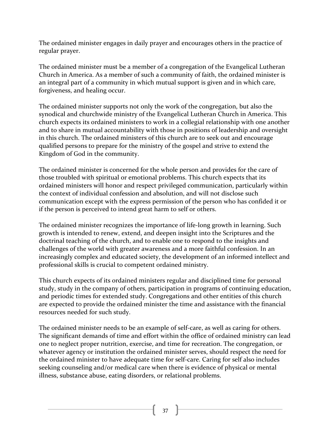The ordained minister engages in daily prayer and encourages others in the practice of regular prayer.

The ordained minister must be a member of a congregation of the Evangelical Lutheran Church in America. As a member of such a community of faith, the ordained minister is an integral part of a community in which mutual support is given and in which care, forgiveness, and healing occur.

The ordained minister supports not only the work of the congregation, but also the synodical and churchwide ministry of the Evangelical Lutheran Church in America. This church expects its ordained ministers to work in a collegial relationship with one another and to share in mutual accountability with those in positions of leadership and oversight in this church. The ordained ministers of this church are to seek out and encourage qualified persons to prepare for the ministry of the gospel and strive to extend the Kingdom of God in the community.

The ordained minister is concerned for the whole person and provides for the care of those troubled with spiritual or emotional problems. This church expects that its ordained ministers will honor and respect privileged communication, particularly within the context of individual confession and absolution, and will not disclose such communication except with the express permission of the person who has confided it or if the person is perceived to intend great harm to self or others.

The ordained minister recognizes the importance of life-long growth in learning. Such growth is intended to renew, extend, and deepen insight into the Scriptures and the doctrinal teaching of the church, and to enable one to respond to the insights and challenges of the world with greater awareness and a more faithful confession. In an increasingly complex and educated society, the development of an informed intellect and professional skills is crucial to competent ordained ministry.

This church expects of its ordained ministers regular and disciplined time for personal study, study in the company of others, participation in programs of continuing education, and periodic times for extended study. Congregations and other entities of this church are expected to provide the ordained minister the time and assistance with the financial resources needed for such study.

The ordained minister needs to be an example of self-care, as well as caring for others. The significant demands of time and effort within the office of ordained ministry can lead one to neglect proper nutrition, exercise, and time for recreation. The congregation, or whatever agency or institution the ordained minister serves, should respect the need for the ordained minister to have adequate time for self-care. Caring for self also includes seeking counseling and/or medical care when there is evidence of physical or mental illness, substance abuse, eating disorders, or relational problems.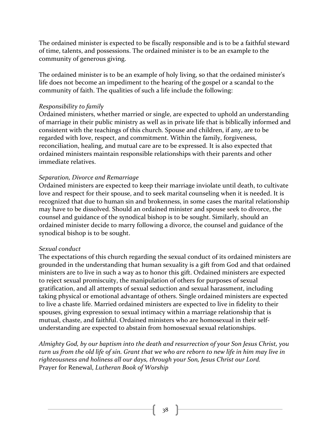The ordained minister is expected to be fiscally responsible and is to be a faithful steward of time, talents, and possessions. The ordained minister is to be an example to the community of generous giving.

The ordained minister is to be an example of holy living, so that the ordained minister's life does not become an impediment to the hearing of the gospel or a scandal to the community of faith. The qualities of such a life include the following:

#### *Responsibility to family*

Ordained ministers, whether married or single, are expected to uphold an understanding of marriage in their public ministry as well as in private life that is biblically informed and consistent with the teachings of this church. Spouse and children, if any, are to be regarded with love, respect, and commitment. Within the family, forgiveness, reconciliation, healing, and mutual care are to be expressed. It is also expected that ordained ministers maintain responsible relationships with their parents and other immediate relatives.

#### *Separation, Divorce and Remarriage*

Ordained ministers are expected to keep their marriage inviolate until death, to cultivate love and respect for their spouse, and to seek marital counseling when it is needed. It is recognized that due to human sin and brokenness, in some cases the marital relationship may have to be dissolved. Should an ordained minister and spouse seek to divorce, the counsel and guidance of the synodical bishop is to be sought. Similarly, should an ordained minister decide to marry following a divorce, the counsel and guidance of the synodical bishop is to be sought.

#### *Sexual conduct*

The expectations of this church regarding the sexual conduct of its ordained ministers are grounded in the understanding that human sexuality is a gift from God and that ordained ministers are to live in such a way as to honor this gift. Ordained ministers are expected to reject sexual promiscuity, the manipulation of others for purposes of sexual gratification, and all attempts of sexual seduction and sexual harassment, including taking physical or emotional advantage of others. Single ordained ministers are expected to live a chaste life. Married ordained ministers are expected to live in fidelity to their spouses, giving expression to sexual intimacy within a marriage relationship that is mutual, chaste, and faithful. Ordained ministers who are homosexual in their selfunderstanding are expected to abstain from homosexual sexual relationships.

Almighty God, by our baptism into the death and resurrection of your Son Jesus Christ, you *turn* us from the old life of sin. Grant that we who are reborn to new life in him may live in righteousness and holiness all our days, through your Son, Jesus Christ our Lord. Prayer for Renewal, *Lutheran Book of Worship*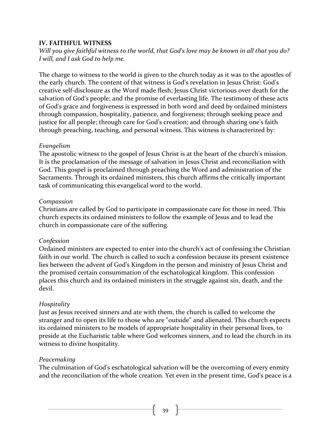#### **IV. FAITHFUL WITNESS**

*Will* you give faithful witness to the world, that God's love may be known in all that you do? *I* will, and *I* ask God to help me.

The charge to witness to the world is given to the church today as it was to the apostles of the early church. The content of that witness is God's revelation in Jesus Christ: God's creative self-disclosure as the Word made flesh; Jesus Christ victorious over death for the salvation of God's people; and the promise of everlasting life. The testimony of these acts of God's grace and forgiveness is expressed in both word and deed by ordained ministers through compassion, hospitality, patience, and forgiveness; through seeking peace and justice for all people; through care for God's creation; and through sharing one's faith through preaching, teaching, and personal witness. This witness is characterized by:

#### *Evangelism*

The apostolic witness to the gospel of Jesus Christ is at the heart of the church's mission. It is the proclamation of the message of salvation in Jesus Christ and reconciliation with God. This gospel is proclaimed through preaching the Word and administration of the Sacraments. Through its ordained ministers, this church affirms the critically important task of communicating this evangelical word to the world.

#### *Compassion*

Christians are called by God to participate in compassionate care for those in need. This church expects its ordained ministers to follow the example of Jesus and to lead the church in compassionate care of the suffering.

#### *Confession*

Ordained ministers are expected to enter into the church's act of confessing the Christian faith in our world. The church is called to such a confession because its present existence lies between the advent of God's Kingdom in the person and ministry of Jesus Christ and the promised certain consummation of the eschatological kingdom. This confession places this church and its ordained ministers in the struggle against sin, death, and the devil.

#### *Hospitality*

Just as Jesus received sinners and ate with them, the church is called to welcome the stranger and to open its life to those who are "outside" and alienated. This church expects its ordained ministers to be models of appropriate hospitality in their personal lives, to preside at the Eucharistic table where God welcomes sinners, and to lead the church in its witness to divine hospitality.

#### *Peacemaking*

The culmination of God's eschatological salvation will be the overcoming of every enmity and the reconciliation of the whole creation. Yet even in the present time, God's peace is a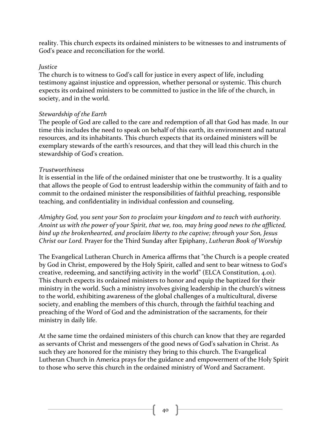reality. This church expects its ordained ministers to be witnesses to and instruments of God's peace and reconciliation for the world.

#### *Justice*

The church is to witness to God's call for justice in every aspect of life, including testimony against injustice and oppression, whether personal or systemic. This church expects its ordained ministers to be committed to justice in the life of the church, in society, and in the world.

#### *Stewardship of the Earth*

The people of God are called to the care and redemption of all that God has made. In our time this includes the need to speak on behalf of this earth, its environment and natural resources, and its inhabitants. This church expects that its ordained ministers will be exemplary stewards of the earth's resources, and that they will lead this church in the stewardship of God's creation.

#### *Trustworthiness*

It is essential in the life of the ordained minister that one be trustworthy. It is a quality that allows the people of God to entrust leadership within the community of faith and to commit to the ordained minister the responsibilities of faithful preaching, responsible teaching, and confidentiality in individual confession and counseling.

*Almighty God, you sent your Son to proclaim your kingdom and to teach with authority. Anoint us with the power of your Spirit, that we, too, may bring good news to the afflicted,* bind up the brokenhearted, and proclaim liberty to the captive; through your Son, Jesus *Christ our Lord.* Prayer for the Third Sunday after Epiphany, *Lutheran Book of Worship* 

The Evangelical Lutheran Church in America affirms that "the Church is a people created by God in Christ, empowered by the Holy Spirit, called and sent to bear witness to God's creative, redeeming, and sanctifying activity in the world" (ELCA Constitution, 4.01). This church expects its ordained ministers to honor and equip the baptized for their ministry in the world. Such a ministry involves giving leadership in the church's witness to the world, exhibiting awareness of the global challenges of a multicultural, diverse society, and enabling the members of this church, through the faithful teaching and preaching of the Word of God and the administration of the sacraments, for their ministry in daily life.

At the same time the ordained ministers of this church can know that they are regarded as servants of Christ and messengers of the good news of God's salvation in Christ. As such they are honored for the ministry they bring to this church. The Evangelical Lutheran Church in America prays for the guidance and empowerment of the Holy Spirit to those who serve this church in the ordained ministry of Word and Sacrament.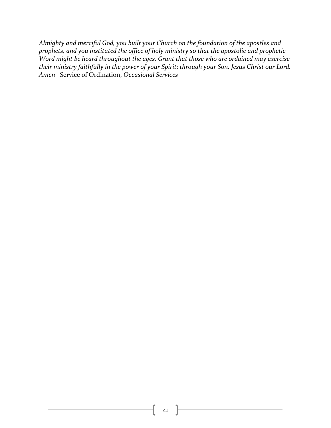Almighty and merciful God, you built your Church on the foundation of the apostles and prophets, and you instituted the office of holy ministry so that the apostolic and prophetic *Word might be heard throughout the ages. Grant that those who are ordained may exercise* their ministry faithfully in the power of your Spirit; through your Son, Jesus Christ our Lord. Amen Service of Ordination, *Occasional Services*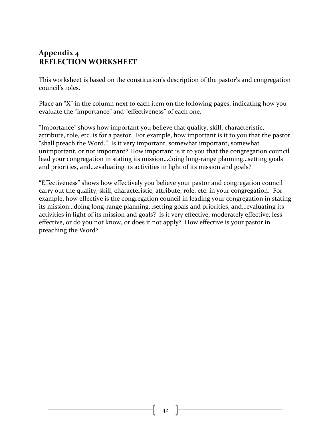# Appendix 4 **REFLECTION WORKSHEET**

This worksheet is based on the constitution's description of the pastor's and congregation council's roles.

Place an "X" in the column next to each item on the following pages, indicating how you evaluate the "importance" and "effectiveness" of each one.

"Importance" shows how important you believe that quality, skill, characteristic, attribute, role, etc. is for a pastor. For example, how important is it to you that the pastor "shall preach the Word." Is it very important, somewhat important, somewhat unimportant, or not important? How important is it to you that the congregation council lead your congregation in stating its mission...doing long-range planning...setting goals and priorities, and...evaluating its activities in light of its mission and goals?

"Effectiveness" shows how effectively you believe your pastor and congregation council carry out the quality, skill, characteristic, attribute, role, etc. in your congregation. For example, how effective is the congregation council in leading your congregation in stating its mission...doing long-range planning...setting goals and priorities, and...evaluating its activities in light of its mission and goals? Is it very effective, moderately effective, less effective, or do you not know, or does it not apply? How effective is your pastor in preaching the Word?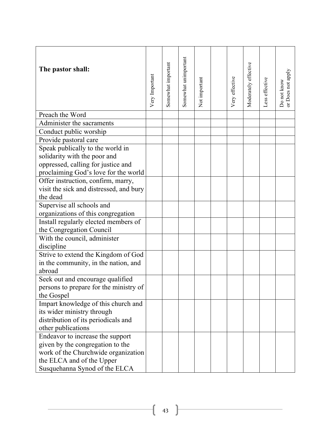| The pastor shall:                       | Very Important | Somewhat important | Somewhat unimportant | Not important | Very effective | Moderately effective | Less effective | or Does not apply<br>Do not know |
|-----------------------------------------|----------------|--------------------|----------------------|---------------|----------------|----------------------|----------------|----------------------------------|
| Preach the Word                         |                |                    |                      |               |                |                      |                |                                  |
| Administer the sacraments               |                |                    |                      |               |                |                      |                |                                  |
| Conduct public worship                  |                |                    |                      |               |                |                      |                |                                  |
| Provide pastoral care                   |                |                    |                      |               |                |                      |                |                                  |
| Speak publically to the world in        |                |                    |                      |               |                |                      |                |                                  |
| solidarity with the poor and            |                |                    |                      |               |                |                      |                |                                  |
| oppressed, calling for justice and      |                |                    |                      |               |                |                      |                |                                  |
| proclaiming God's love for the world    |                |                    |                      |               |                |                      |                |                                  |
| Offer instruction, confirm, marry,      |                |                    |                      |               |                |                      |                |                                  |
| visit the sick and distressed, and bury |                |                    |                      |               |                |                      |                |                                  |
| the dead                                |                |                    |                      |               |                |                      |                |                                  |
| Supervise all schools and               |                |                    |                      |               |                |                      |                |                                  |
| organizations of this congregation      |                |                    |                      |               |                |                      |                |                                  |
| Install regularly elected members of    |                |                    |                      |               |                |                      |                |                                  |
| the Congregation Council                |                |                    |                      |               |                |                      |                |                                  |
| With the council, administer            |                |                    |                      |               |                |                      |                |                                  |
| discipline                              |                |                    |                      |               |                |                      |                |                                  |
| Strive to extend the Kingdom of God     |                |                    |                      |               |                |                      |                |                                  |
| in the community, in the nation, and    |                |                    |                      |               |                |                      |                |                                  |
| abroad                                  |                |                    |                      |               |                |                      |                |                                  |
| Seek out and encourage qualified        |                |                    |                      |               |                |                      |                |                                  |
| persons to prepare for the ministry of  |                |                    |                      |               |                |                      |                |                                  |
| the Gospel                              |                |                    |                      |               |                |                      |                |                                  |
| Impart knowledge of this church and     |                |                    |                      |               |                |                      |                |                                  |
| its wider ministry through              |                |                    |                      |               |                |                      |                |                                  |
| distribution of its periodicals and     |                |                    |                      |               |                |                      |                |                                  |
| other publications                      |                |                    |                      |               |                |                      |                |                                  |
| Endeavor to increase the support        |                |                    |                      |               |                |                      |                |                                  |
| given by the congregation to the        |                |                    |                      |               |                |                      |                |                                  |
| work of the Churchwide organization     |                |                    |                      |               |                |                      |                |                                  |
| the ELCA and of the Upper               |                |                    |                      |               |                |                      |                |                                  |
| Susquehanna Synod of the ELCA           |                |                    |                      |               |                |                      |                |                                  |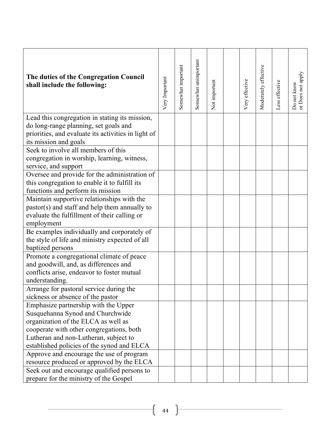| The duties of the Congregation Council<br>shall include the following:                                                | Very Important | Somewhat important | Somewhat unimportant | Not important | Very effective | Moderately effective | Less effective | or Does not apply<br>Do not know |
|-----------------------------------------------------------------------------------------------------------------------|----------------|--------------------|----------------------|---------------|----------------|----------------------|----------------|----------------------------------|
| Lead this congregation in stating its mission,                                                                        |                |                    |                      |               |                |                      |                |                                  |
| do long-range planning, set goals and<br>priorities, and evaluate its activities in light of<br>its mission and goals |                |                    |                      |               |                |                      |                |                                  |
| Seek to involve all members of this                                                                                   |                |                    |                      |               |                |                      |                |                                  |
| congregation in worship, learning, witness,<br>service, and support                                                   |                |                    |                      |               |                |                      |                |                                  |
| Oversee and provide for the administration of                                                                         |                |                    |                      |               |                |                      |                |                                  |
| this congregation to enable it to fulfill its                                                                         |                |                    |                      |               |                |                      |                |                                  |
| functions and perform its mission                                                                                     |                |                    |                      |               |                |                      |                |                                  |
| Maintain supportive relationships with the                                                                            |                |                    |                      |               |                |                      |                |                                  |
| pastor(s) and staff and help them annually to                                                                         |                |                    |                      |               |                |                      |                |                                  |
| evaluate the fulfillment of their calling or                                                                          |                |                    |                      |               |                |                      |                |                                  |
| employment                                                                                                            |                |                    |                      |               |                |                      |                |                                  |
| Be examples individually and corporately of                                                                           |                |                    |                      |               |                |                      |                |                                  |
| the style of life and ministry expected of all                                                                        |                |                    |                      |               |                |                      |                |                                  |
| baptized persons                                                                                                      |                |                    |                      |               |                |                      |                |                                  |
| Promote a congregational climate of peace                                                                             |                |                    |                      |               |                |                      |                |                                  |
| and goodwill, and, as differences and                                                                                 |                |                    |                      |               |                |                      |                |                                  |
| conflicts arise, endeavor to foster mutual                                                                            |                |                    |                      |               |                |                      |                |                                  |
| understanding.                                                                                                        |                |                    |                      |               |                |                      |                |                                  |
| Arrange for pastoral service during the                                                                               |                |                    |                      |               |                |                      |                |                                  |
| sickness or absence of the pastor                                                                                     |                |                    |                      |               |                |                      |                |                                  |
| Emphasize partnership with the Upper<br>Susquehanna Synod and Churchwide                                              |                |                    |                      |               |                |                      |                |                                  |
| organization of the ELCA as well as                                                                                   |                |                    |                      |               |                |                      |                |                                  |
| cooperate with other congregations, both                                                                              |                |                    |                      |               |                |                      |                |                                  |
| Lutheran and non-Lutheran, subject to                                                                                 |                |                    |                      |               |                |                      |                |                                  |
| established policies of the synod and ELCA                                                                            |                |                    |                      |               |                |                      |                |                                  |
| Approve and encourage the use of program                                                                              |                |                    |                      |               |                |                      |                |                                  |
| resource produced or approved by the ELCA                                                                             |                |                    |                      |               |                |                      |                |                                  |
| Seek out and encourage qualified persons to                                                                           |                |                    |                      |               |                |                      |                |                                  |
| prepare for the ministry of the Gospel                                                                                |                |                    |                      |               |                |                      |                |                                  |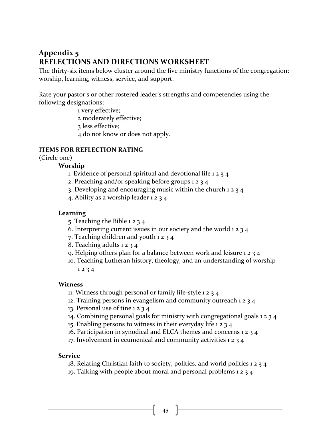# **Appendix 5 REFLECTIONS AND DIRECTIONS WORKSHEET**

The thirty-six items below cluster around the five ministry functions of the congregation: worship, learning, witness, service, and support.

Rate your pastor's or other rostered leader's strengths and competencies using the following designations:

1 very effective;

2 moderately effective; 

3 less effective; 

4 do not know or does not apply.

#### **ITEMS FOR REFLECTION RATING**

(Circle one)

#### **Worship**

- 1. Evidence of personal spiritual and devotional life  $1 2 3 4$
- 2. Preaching and/or speaking before groups  $1 2 3 4$
- 3. Developing and encouraging music within the church  $1 2 3 4$
- 4. Ability as a worship leader 1 2 3 4

#### **Learning**

- 5. Teaching the Bible  $1 2 3 4$
- 6. Interpreting current issues in our society and the world  $1 2 3 4$
- 7. Teaching children and youth  $1234$
- 8. Teaching adults  $1 2 3 4$
- 9. Helping others plan for a balance between work and leisure  $1234$
- 10. Teaching Lutheran history, theology, and an understanding of worship  $1234$

#### **Witness**

- 11. Witness through personal or family life-style 1 2 3 4
- 12. Training persons in evangelism and community outreach  $1 2 3 4$
- 13. Personal use of tine  $1 2 3 4$
- 14. Combining personal goals for ministry with congregational goals  $1234$
- 15. Enabling persons to witness in their everyday life  $1234$
- 16. Participation in synodical and ELCA themes and concerns  $1 2 3 4$
- 17. Involvement in ecumenical and community activities 1 2 3 4

#### **Service**

- 18. Relating Christian faith to society, politics, and world politics  $1 2 3 4$
- 19. Talking with people about moral and personal problems 1 2 3 4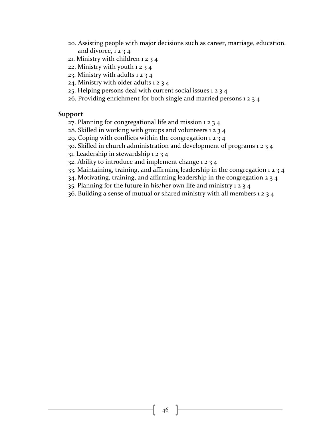- 20. Assisting people with major decisions such as career, marriage, education, and divorce,  $1234$
- 21. Ministry with children  $1 2 3 4$
- 22. Ministry with youth  $1 2 3 4$
- 23. Ministry with adults  $1234$
- 24. Ministry with older adults  $1234$
- $25$ . Helping persons deal with current social issues 1 2 3 4
- 26. Providing enrichment for both single and married persons  $1 2 3 4$

#### **Support**

- 27. Planning for congregational life and mission  $1 2 3 4$
- 28. Skilled in working with groups and volunteers  $1 2 3 4$
- 29. Coping with conflicts within the congregation  $1 2 3 4$
- 30. Skilled in church administration and development of programs  $1 2 3 4$
- 31. Leadership in stewardship  $1 2 3 4$
- 32. Ability to introduce and implement change  $1 2 3 4$
- 33. Maintaining, training, and affirming leadership in the congregation  $1 2 3 4$
- $34$ . Motivating, training, and affirming leadership in the congregation  $2\frac{3}{4}$
- 35. Planning for the future in his/her own life and ministry  $1 2 3 4$
- 36. Building a sense of mutual or shared ministry with all members  $1 2 3 4$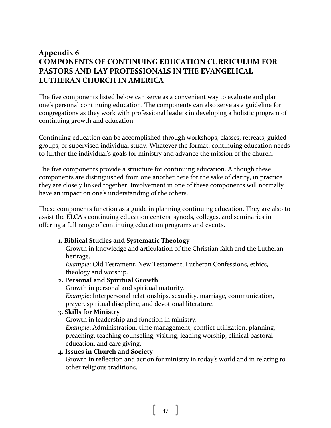# **Appendix 6 COMPONENTS OF CONTINUING EDUCATION CURRICULUM FOR** PASTORS AND LAY PROFESSIONALS IN THE EVANGELICAL LUTHERAN CHURCH IN AMERICA

The five components listed below can serve as a convenient way to evaluate and plan one's personal continuing education. The components can also serve as a guideline for congregations as they work with professional leaders in developing a holistic program of continuing growth and education.

Continuing education can be accomplished through workshops, classes, retreats, guided groups, or supervised individual study. Whatever the format, continuing education needs to further the individual's goals for ministry and advance the mission of the church.

The five components provide a structure for continuing education. Although these components are distinguished from one another here for the sake of clarity, in practice they are closely linked together. Involvement in one of these components will normally have an impact on one's understanding of the others.

These components function as a guide in planning continuing education. They are also to assist the ELCA's continuing education centers, synods, colleges, and seminaries in offering a full range of continuing education programs and events.

#### **1. Biblical Studies and Systematic Theology**

Growth in knowledge and articulation of the Christian faith and the Lutheran heritage.

*Example*: Old Testament, New Testament, Lutheran Confessions, ethics, theology and worship.

#### **2. Personal and Spiritual Growth**

Growth in personal and spiritual maturity.

*Example*: Interpersonal relationships, sexuality, marriage, communication, prayer, spiritual discipline, and devotional literature.

#### **3. Skills for Ministry**

Growth in leadership and function in ministry.

*Example*: Administration, time management, conflict utilization, planning, preaching, teaching counseling, visiting, leading worship, clinical pastoral education, and care giving.

#### **4. Issues in Church and Society**

Growth in reflection and action for ministry in today's world and in relating to other religious traditions.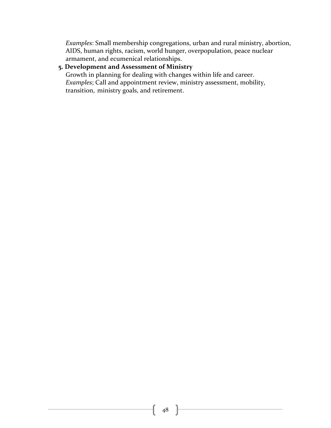*Examples*: Small membership congregations, urban and rural ministry, abortion, AIDS, human rights, racism, world hunger, overpopulation, peace nuclear armament, and ecumenical relationships.

#### **5. Development and Assessment of Ministry**

Growth in planning for dealing with changes within life and career. *Examples*; Call and appointment review, ministry assessment, mobility, transition, ministry goals, and retirement.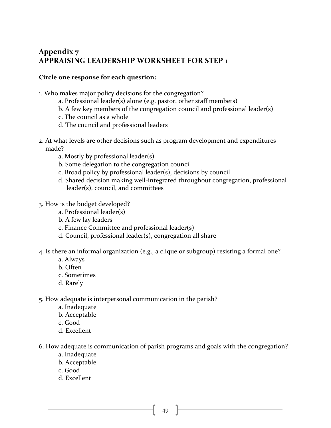# Appendix 7 **APPRAISING LEADERSHIP WORKSHEET FOR STEP 1**

#### **Circle one response for each question:**

- 1. Who makes major policy decisions for the congregation?
	- $a.$  Professional leader(s) alone (e.g. pastor, other staff members)
	- b. A few key members of the congregation council and professional leader(s)
	- c. The council as a whole
	- d. The council and professional leaders
- 2. At what levels are other decisions such as program development and expenditures made?
	- a. Mostly by professional leader(s)
	- b. Some delegation to the congregation council
	- c. Broad policy by professional leader(s), decisions by council
	- d. Shared decision making well-integrated throughout congregation, professional leader(s), council, and committees
- 3. How is the budget developed?
	- a. Professional leader(s)
	- b. A few lay leaders
	- c. Finance Committee and professional leader(s)
	- d. Council, professional leader(s), congregation all share
- 4. Is there an informal organization (e.g., a clique or subgroup) resisting a formal one?
	- a. Always
	- b. Often
	- c. Sometimes
	- d. Rarely
- 5. How adequate is interpersonal communication in the parish?
	- a. Inadequate
	- b. Acceptable
	- c. Good
	- d. Excellent
- 6. How adequate is communication of parish programs and goals with the congregation?
	- a. Inadequate
	- b. Acceptable
	- c. Good
	- d. Excellent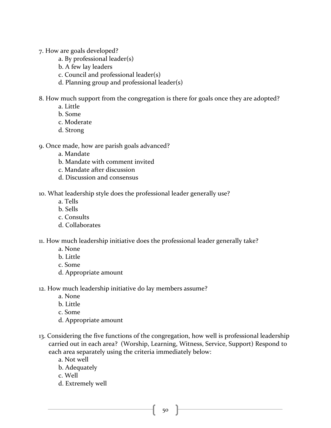- 7. How are goals developed?
	- a. By professional  $leader(s)$
	- b. A few lay leaders
	- c. Council and professional leader(s)
	- d. Planning group and professional leader(s)
- 8. How much support from the congregation is there for goals once they are adopted?
	- a. Little
	- b. Some
	- c. Moderate
	- d. Strong
- 9. Once made, how are parish goals advanced?
	- a. Mandate
	- b. Mandate with comment invited
	- c. Mandate after discussion
	- d. Discussion and consensus
- 10. What leadership style does the professional leader generally use?
	- a. Tells
	- b. Sells
	- c. Consults
	- d. Collaborates
- 11. How much leadership initiative does the professional leader generally take?
	- a. None
	- b. Little
	- c. Some
	- d. Appropriate amount
- 12. How much leadership initiative do lay members assume?
	- a. None
	- b. Little
	- c. Some
	- d. Appropriate amount
- 13. Considering the five functions of the congregation, how well is professional leadership carried out in each area? (Worship, Learning, Witness, Service, Support) Respond to each area separately using the criteria immediately below:
	- a. Not well
	- b. Adequately
	- c. Well
	- d. Extremely well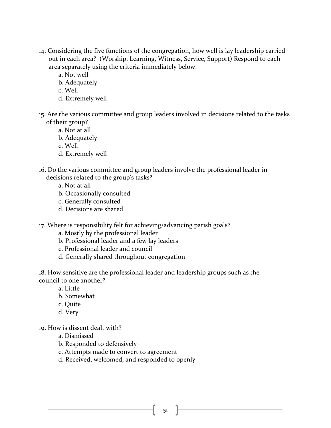- 14. Considering the five functions of the congregation, how well is lay leadership carried out in each area? (Worship, Learning, Witness, Service, Support) Respond to each area separately using the criteria immediately below:
	- a. Not well
	- b. Adequately
	- c. Well
	- d. Extremely well
- 15. Are the various committee and group leaders involved in decisions related to the tasks of their group?
	- a. Not at all
	- b. Adequately
	- c. Well
	- d. Extremely well
- 16. Do the various committee and group leaders involve the professional leader in decisions related to the group's tasks?
	- a. Not at all
	- b. Occasionally consulted
	- c. Generally consulted
	- d. Decisions are shared
- 17. Where is responsibility felt for achieving/advancing parish goals?
	- a. Mostly by the professional leader
	- b. Professional leader and a few lay leaders
	- c. Professional leader and council
	- d. Generally shared throughout congregation

18. How sensitive are the professional leader and leadership groups such as the council to one another?

- a. Little
- b. Somewhat
- c. Quite
- d. Very
- 19. How is dissent dealt with?
	- a. Dismissed
	- b. Responded to defensively
	- c. Attempts made to convert to agreement
	- d. Received, welcomed, and responded to openly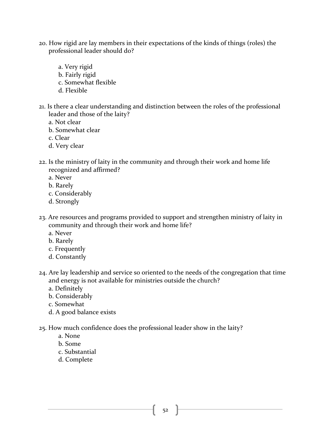- 20. How rigid are lay members in their expectations of the kinds of things (roles) the professional leader should do?
	- a. Very rigid
	- b. Fairly rigid
	- c. Somewhat flexible
	- d. Flexible
- 21. Is there a clear understanding and distinction between the roles of the professional leader and those of the laity?
	- a. Not clear
	- b. Somewhat clear
	- c. Clear
	- d. Very clear
- 22. Is the ministry of laity in the community and through their work and home life recognized and affirmed?
	- a. Never
	- b. Rarely
	- c. Considerably
	- d. Strongly
- 23. Are resources and programs provided to support and strengthen ministry of laity in community and through their work and home life?
	- a. Never
	- b. Rarely
	- c. Frequently
	- d. Constantly
- 24. Are lay leadership and service so oriented to the needs of the congregation that time and energy is not available for ministries outside the church?
	- a. Definitely
	- b. Considerably
	- c. Somewhat
	- d. A good balance exists
- 25. How much confidence does the professional leader show in the laity?
	- a. None
	- b. Some
	- c. Substantial
	- d. Complete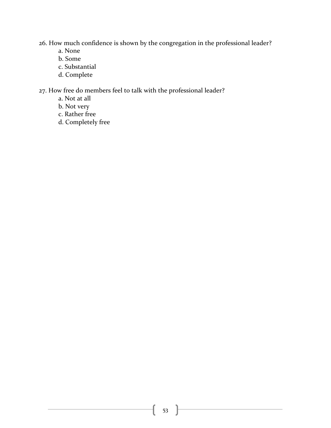26. How much confidence is shown by the congregation in the professional leader?

- a. None
- b. Some
- c. Substantial
- d. Complete

27. How free do members feel to talk with the professional leader?

- a. Not at all
- b. Not very
- c. Rather free
- d. Completely free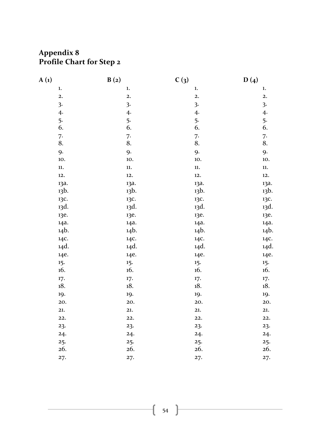# **Appendix 8 Profile Chart for Step 2**

| A(1) | B(2)           | C(3)                    |                         | D(4)                    |
|------|----------------|-------------------------|-------------------------|-------------------------|
|      | ${\bf 1.}$     | ${\bf 1.}$              | ${\bf 1.}$              | $\mathbf{1}$ .          |
|      | $\mathbf{2}$ . | 2.                      | $\mathbf{2}$ .          | 2.                      |
|      | 3.             | $\overline{\mathbf{3}}$ | $\overline{\mathbf{3}}$ | $\overline{\mathbf{3}}$ |
|      | 4.             | 4.                      | 4.                      | 4.                      |
|      | 5.             | 5.                      | 5.                      |                         |
|      | 6.             | 6.                      | 6.                      | $\frac{5}{6}$ .         |
|      | 7.             | 7.                      | 7.                      |                         |
|      | 8.             | 8.                      | 8.                      | $\frac{7}{8}$ .         |
|      | 9.             | 9.                      | 9.                      | 9.                      |
|      | 10.            | 10.                     | 10.                     | 10.                     |
|      | $11. \,$       | $11. \,$                | $\mathbf{11.}$          | $\mathbf{11.}$          |
|      | 12.            | 12.                     | 12.                     | 12.                     |
|      | 13a.           | 13a.                    | 13a.                    | 13a.                    |
|      | 13b.           | 13b.                    | 13b.                    | 13b.                    |
|      | 13C.           | 13C.                    | 13C.                    | 13C.                    |
|      | 13d.           | 13d.                    | 13d.                    | 13d.                    |
|      | 13e.           | 13e.                    | 13e.                    | 13e.                    |
|      | 14a.           | 14a.                    | 14a.                    | 14a.                    |
|      | 14b.           | 14b.                    | 14b.                    | 14b.                    |
|      | 14C.           | 14C.                    | 14C.                    | 14C.                    |
|      | 14d.           | 14d.                    | 14d.                    | 14d.                    |
|      | 14e.           | 14e.                    | 14e.                    | 14e.                    |
|      | 15.            | 15.                     | 15.                     | 15.                     |
|      | 16.            | 16.                     | 16.                     | 16.                     |
|      | 17.            | 17.                     | 17.                     | 17.                     |
|      | 18.            | 18.                     | 18.                     | 18.                     |
|      | 19.            | 19.                     | 19.                     | 19.                     |
|      | 20.            | 20.                     | 20.                     | 20.                     |
|      | 21.            | 21.                     | 21.                     | 21.                     |
|      | 22.            | 22                      | 22.                     | 22.                     |
|      | 23.            | 23.                     | 23.                     | 23.                     |
|      | 24.            | 24.                     | 24.                     | 24.                     |
|      | 25.            | 25.                     | 25.                     | 25.                     |
|      | 26.            | 26.                     | 26.                     | 26.                     |
|      | 27.            | 27.                     | 27.                     | 27.                     |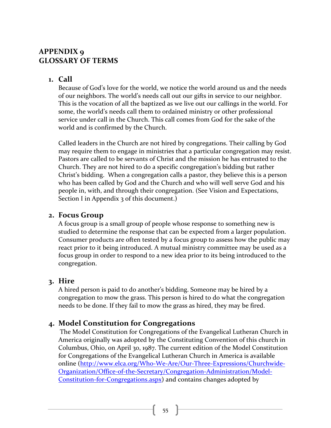# **APPENDIX** 9 **GLOSSARY OF TERMS**

# **1. Call**

Because of God's love for the world, we notice the world around us and the needs of our neighbors. The world's needs call out our gifts in service to our neighbor. This is the vocation of all the baptized as we live out our callings in the world. For some, the world's needs call them to ordained ministry or other professional service under call in the Church. This call comes from God for the sake of the world and is confirmed by the Church.

Called leaders in the Church are not hired by congregations. Their calling by God may require them to engage in ministries that a particular congregation may resist. Pastors are called to be servants of Christ and the mission he has entrusted to the Church. They are not hired to do a specific congregation's bidding but rather Christ's bidding. When a congregation calls a pastor, they believe this is a person who has been called by God and the Church and who will well serve God and his people in, with, and through their congregation. (See Vision and Expectations, Section I in Appendix  $\frac{1}{3}$  of this document.)

# **2. Focus Group**

A focus group is a small group of people whose response to something new is studied to determine the response that can be expected from a larger population. Consumer products are often tested by a focus group to assess how the public may react prior to it being introduced. A mutual ministry committee may be used as a focus group in order to respond to a new idea prior to its being introduced to the congregation. 

# **3. Hire**

A hired person is paid to do another's bidding. Someone may be hired by a congregation to mow the grass. This person is hired to do what the congregation needs to be done. If they fail to mow the grass as hired, they may be fired.

# **4. Model Constitution for Congregations**

The Model Constitution for Congregations of the Evangelical Lutheran Church in America originally was adopted by the Constituting Convention of this church in Columbus, Ohio, on April 30, 1987. The current edition of the Model Constitution for Congregations of the Evangelical Lutheran Church in America is available online (http://www.elca.org/Who-We-Are/Our-Three-Expressions/Churchwide-Organization/Office-of-the-Secretary/Congregation-Administration/Model-Constitution-for-Congregations.aspx) and contains changes adopted by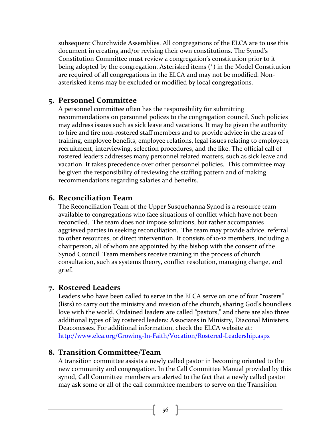subsequent Churchwide Assemblies. All congregations of the ELCA are to use this document in creating and/or revising their own constitutions. The Synod's Constitution Committee must review a congregation's constitution prior to it being adopted by the congregation. Asterisked items  $(*)$  in the Model Constitution are required of all congregations in the ELCA and may not be modified. Nonasterisked items may be excluded or modified by local congregations.

# **5. Personnel Committee**

A personnel committee often has the responsibility for submitting recommendations on personnel polices to the congregation council. Such policies may address issues such as sick leave and vacations. It may be given the authority to hire and fire non-rostered staff members and to provide advice in the areas of training, employee benefits, employee relations, legal issues relating to employees, recruitment, interviewing, selection procedures, and the like. The official call of rostered leaders addresses many personnel related matters, such as sick leave and vacation. It takes precedence over other personnel policies. This committee may be given the responsibility of reviewing the staffing pattern and of making recommendations regarding salaries and benefits.

### **6. Reconciliation Team**

The Reconciliation Team of the Upper Susquehanna Synod is a resource team available to congregations who face situations of conflict which have not been reconciled. The team does not impose solutions, but rather accompanies aggrieved parties in seeking reconciliation. The team may provide advice, referral to other resources, or direct intervention. It consists of 10-12 members, including a chairperson, all of whom are appointed by the bishop with the consent of the Synod Council. Team members receive training in the process of church consultation, such as systems theory, conflict resolution, managing change, and grief.

### **7. Rostered Leaders**

Leaders who have been called to serve in the ELCA serve on one of four "rosters" (lists) to carry out the ministry and mission of the church, sharing God's boundless love with the world. Ordained leaders are called "pastors," and there are also three additional types of lay rostered leaders: Associates in Ministry, Diaconal Ministers, Deaconesses. For additional information, check the ELCA website at: http://www.elca.org/Growing-In-Faith/Vocation/Rostered-Leadership.aspx

### **8. Transition Committee/Team**

A transition committee assists a newly called pastor in becoming oriented to the new community and congregation. In the Call Committee Manual provided by this synod, Call Committee members are alerted to the fact that a newly called pastor may ask some or all of the call committee members to serve on the Transition